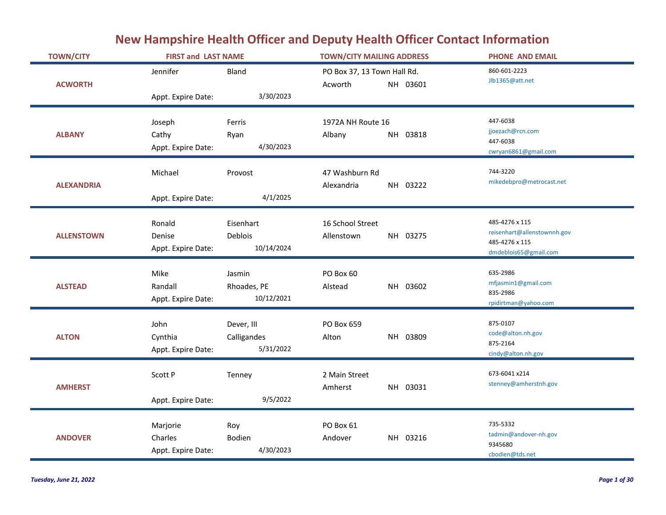## **New Hampshire Health Officer and Deputy Health Officer Contact Information**

| <b>TOWN/CITY</b>  | <b>FIRST and LAST NAME</b>                |                                        | <b>TOWN/CITY MAILING ADDRESS</b>           | <b>PHONE AND EMAIL</b>                                                                   |
|-------------------|-------------------------------------------|----------------------------------------|--------------------------------------------|------------------------------------------------------------------------------------------|
|                   | Jennifer                                  | Bland                                  | PO Box 37, 13 Town Hall Rd.                | 860-601-2223<br>Jlb1365@att.net                                                          |
| <b>ACWORTH</b>    | Appt. Expire Date:                        | 3/30/2023                              | Acworth<br>NH 03601                        |                                                                                          |
| <b>ALBANY</b>     | Joseph<br>Cathy<br>Appt. Expire Date:     | Ferris<br>Ryan<br>4/30/2023            | 1972A NH Route 16<br>NH 03818<br>Albany    | 447-6038<br>jjoezach@rcn.com<br>447-6038<br>cwryan6861@gmail.com                         |
| <b>ALEXANDRIA</b> | Michael<br>Appt. Expire Date:             | Provost<br>4/1/2025                    | 47 Washburn Rd<br>Alexandria<br>NH 03222   | 744-3220<br>mikedebpro@metrocast.net                                                     |
| <b>ALLENSTOWN</b> | Ronald<br>Denise<br>Appt. Expire Date:    | Eisenhart<br>Deblois<br>10/14/2024     | 16 School Street<br>NH 03275<br>Allenstown | 485-4276 x 115<br>reisenhart@allenstownnh.gov<br>485-4276 x 115<br>dmdeblois65@gmail.com |
| <b>ALSTEAD</b>    | Mike<br>Randall<br>Appt. Expire Date:     | Jasmin<br>Rhoades, PE<br>10/12/2021    | PO Box 60<br>NH 03602<br>Alstead           | 635-2986<br>mfjasmin1@gmail.com<br>835-2986<br>rpidirtman@yahoo.com                      |
| <b>ALTON</b>      | John<br>Cynthia<br>Appt. Expire Date:     | Dever, III<br>Calligandes<br>5/31/2022 | PO Box 659<br>NH 03809<br>Alton            | 875-0107<br>code@alton.nh.gov<br>875-2164<br>cindy@alton.nh.gov                          |
| <b>AMHERST</b>    | Scott P<br>Appt. Expire Date:             | Tenney<br>9/5/2022                     | 2 Main Street<br>NH 03031<br>Amherst       | 673-6041 x214<br>stenney@amherstnh.gov                                                   |
| <b>ANDOVER</b>    | Marjorie<br>Charles<br>Appt. Expire Date: | Roy<br>Bodien<br>4/30/2023             | PO Box 61<br>NH 03216<br>Andover           | 735-5332<br>tadmin@andover-nh.gov<br>9345680<br>cbodien@tds.net                          |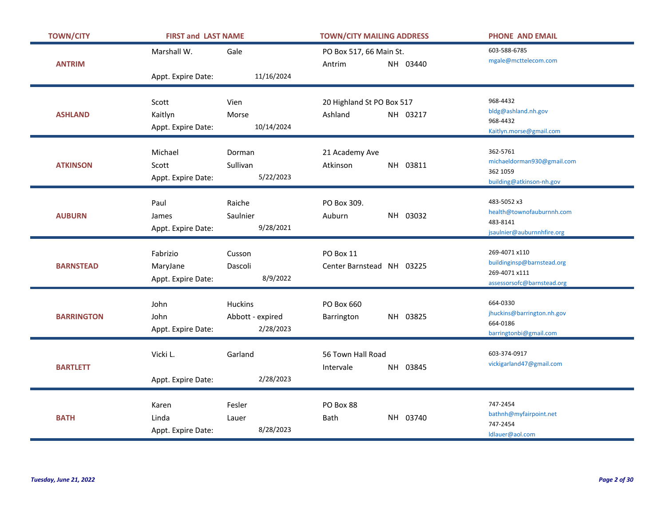| <b>TOWN/CITY</b>  | <b>FIRST and LAST NAME</b>     |                     | <b>TOWN/CITY MAILING ADDRESS</b>       |          | <b>PHONE AND EMAIL</b>                   |
|-------------------|--------------------------------|---------------------|----------------------------------------|----------|------------------------------------------|
|                   | Marshall W.                    | Gale                | PO Box 517, 66 Main St.                |          | 603-588-6785                             |
| <b>ANTRIM</b>     |                                |                     | Antrim                                 | NH 03440 | mgale@mcttelecom.com                     |
|                   | Appt. Expire Date:             | 11/16/2024          |                                        |          |                                          |
|                   |                                |                     |                                        |          | 968-4432                                 |
|                   | Scott                          | Vien                | 20 Highland St PO Box 517              |          | bldg@ashland.nh.gov                      |
| <b>ASHLAND</b>    | Kaitlyn                        | Morse<br>10/14/2024 | Ashland                                | NH 03217 | 968-4432                                 |
|                   | Appt. Expire Date:             |                     |                                        |          | Kaitlyn.morse@gmail.com                  |
|                   | Michael                        | Dorman              | 21 Academy Ave                         |          | 362-5761                                 |
| <b>ATKINSON</b>   | Scott                          | Sullivan            | Atkinson                               | NH 03811 | michaeldorman930@gmail.com               |
|                   | Appt. Expire Date:             | 5/22/2023           |                                        |          | 362 1059<br>building@atkinson-nh.gov     |
|                   |                                |                     |                                        |          |                                          |
|                   | Paul                           | Raiche              | PO Box 309.                            |          | 483-5052 x3                              |
| <b>AUBURN</b>     | James                          | Saulnier            | Auburn                                 | NH 03032 | health@townofauburnnh.com<br>483-8141    |
|                   | Appt. Expire Date:             | 9/28/2021           |                                        |          | jsaulnier@auburnnhfire.org               |
|                   |                                |                     |                                        |          | 269-4071 x110                            |
| <b>BARNSTEAD</b>  | Fabrizio                       | Cusson<br>Dascoli   | PO Box 11<br>Center Barnstead NH 03225 |          | buildinginsp@barnstead.org               |
|                   | MaryJane<br>Appt. Expire Date: | 8/9/2022            |                                        |          | 269-4071 x111                            |
|                   |                                |                     |                                        |          | assessorsofc@barnstead.org               |
|                   | John                           | <b>Huckins</b>      | PO Box 660                             |          | 664-0330                                 |
| <b>BARRINGTON</b> | John                           | Abbott - expired    | Barrington                             | NH 03825 | jhuckins@barrington.nh.gov               |
|                   | Appt. Expire Date:             | 2/28/2023           |                                        |          | 664-0186<br>barringtonbi@gmail.com       |
|                   |                                |                     |                                        |          |                                          |
|                   | Vicki L.                       | Garland             | 56 Town Hall Road                      |          | 603-374-0917<br>vickigarland47@gmail.com |
| <b>BARTLETT</b>   |                                |                     | Intervale                              | NH 03845 |                                          |
|                   | Appt. Expire Date:             | 2/28/2023           |                                        |          |                                          |
|                   | Karen                          | Fesler              | PO Box 88                              |          | 747-2454                                 |
| <b>BATH</b>       | Linda                          | Lauer               | Bath                                   | NH 03740 | bathnh@myfairpoint.net                   |
|                   | Appt. Expire Date:             | 8/28/2023           |                                        |          | 747-2454                                 |
|                   |                                |                     |                                        |          | Idlauer@aol.com                          |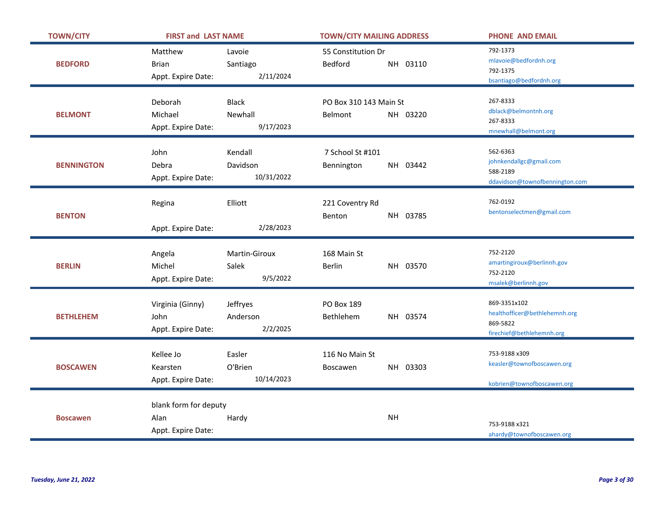| <b>TOWN/CITY</b>  | <b>FIRST and LAST NAME</b> |                      | <b>TOWN/CITY MAILING ADDRESS</b> |          | <b>PHONE AND EMAIL</b>                        |
|-------------------|----------------------------|----------------------|----------------------------------|----------|-----------------------------------------------|
|                   | Matthew                    | Lavoie               | 55 Constitution Dr               |          | 792-1373<br>mlavoie@bedfordnh.org             |
| <b>BEDFORD</b>    | <b>Brian</b>               | Santiago             | Bedford                          | NH 03110 | 792-1375                                      |
|                   | Appt. Expire Date:         | 2/11/2024            |                                  |          | bsantiago@bedfordnh.org                       |
|                   | Deborah                    | <b>Black</b>         | PO Box 310 143 Main St           |          | 267-8333                                      |
|                   |                            |                      |                                  |          | dblack@belmontnh.org                          |
| <b>BELMONT</b>    | Michael                    | Newhall<br>9/17/2023 | Belmont                          | NH 03220 | 267-8333                                      |
|                   | Appt. Expire Date:         |                      |                                  |          | mnewhall@belmont.org                          |
|                   | John                       | Kendall              | 7 School St #101                 |          | 562-6363                                      |
| <b>BENNINGTON</b> | Debra                      | Davidson             | Bennington                       | NH 03442 | johnkendallgc@gmail.com                       |
|                   | Appt. Expire Date:         | 10/31/2022           |                                  |          | 588-2189                                      |
|                   |                            |                      |                                  |          | ddavidson@townofbennington.com                |
|                   | Regina                     | Elliott              | 221 Coventry Rd                  |          | 762-0192                                      |
| <b>BENTON</b>     |                            |                      | Benton                           | NH 03785 | bentonselectmen@gmail.com                     |
|                   | Appt. Expire Date:         | 2/28/2023            |                                  |          |                                               |
|                   |                            |                      |                                  |          |                                               |
|                   | Angela                     | Martin-Giroux        | 168 Main St                      |          | 752-2120                                      |
| <b>BERLIN</b>     | Michel                     | Salek                | <b>Berlin</b>                    | NH 03570 | amartingiroux@berlinnh.gov<br>752-2120        |
|                   | Appt. Expire Date:         | 9/5/2022             |                                  |          | msalek@berlinnh.gov                           |
|                   |                            |                      |                                  |          |                                               |
|                   | Virginia (Ginny)           | Jeffryes             | PO Box 189                       |          | 869-3351x102<br>healthofficer@bethlehemnh.org |
| <b>BETHLEHEM</b>  | John                       | Anderson             | Bethlehem                        | NH 03574 | 869-5822                                      |
|                   | Appt. Expire Date:         | 2/2/2025             |                                  |          | firechief@bethlehemnh.org                     |
|                   |                            |                      |                                  |          |                                               |
|                   | Kellee Jo                  | Easler               | 116 No Main St                   |          | 753-9188 x309<br>keasler@townofboscawen.org   |
| <b>BOSCAWEN</b>   | Kearsten                   | O'Brien              | Boscawen                         | NH 03303 |                                               |
|                   | Appt. Expire Date:         | 10/14/2023           |                                  |          | kobrien@townofboscawen.org                    |
|                   | blank form for deputy      |                      |                                  |          |                                               |
| <b>Boscawen</b>   | Alan                       | Hardy                | <b>NH</b>                        |          |                                               |
|                   | Appt. Expire Date:         |                      |                                  |          | 753-9188 x321                                 |
|                   |                            |                      |                                  |          | ahardy@townofboscawen.org                     |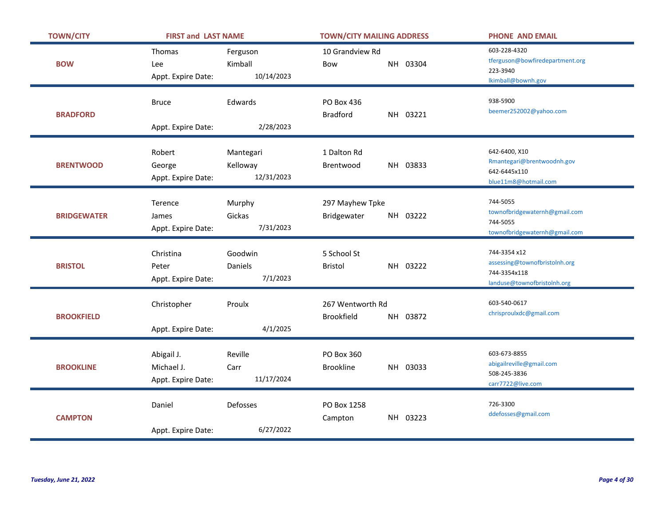| <b>TOWN/CITY</b>   | <b>FIRST and LAST NAME</b>                     |                                     | <b>TOWN/CITY MAILING ADDRESS</b> |          | <b>PHONE AND EMAIL</b>                                                                       |
|--------------------|------------------------------------------------|-------------------------------------|----------------------------------|----------|----------------------------------------------------------------------------------------------|
| <b>BOW</b>         | Thomas<br>Lee<br>Appt. Expire Date:            | Ferguson<br>Kimball<br>10/14/2023   | 10 Grandview Rd<br>Bow           | NH 03304 | 603-228-4320<br>tferguson@bowfiredepartment.org<br>223-3940<br>Ikimball@bownh.gov            |
| <b>BRADFORD</b>    | <b>Bruce</b><br>Appt. Expire Date:             | Edwards<br>2/28/2023                | PO Box 436<br><b>Bradford</b>    | NH 03221 | 938-5900<br>beemer252002@yahoo.com                                                           |
| <b>BRENTWOOD</b>   | Robert<br>George<br>Appt. Expire Date:         | Mantegari<br>Kelloway<br>12/31/2023 | 1 Dalton Rd<br>Brentwood         | NH 03833 | 642-6400, X10<br>Rmantegari@brentwoodnh.gov<br>642-6445x110<br>blue11m8@hotmail.com          |
| <b>BRIDGEWATER</b> | Terence<br>James<br>Appt. Expire Date:         | Murphy<br>Gickas<br>7/31/2023       | 297 Mayhew Tpke<br>Bridgewater   | NH 03222 | 744-5055<br>townofbridgewaternh@gmail.com<br>744-5055<br>townofbridgewaternh@gmail.com       |
| <b>BRISTOL</b>     | Christina<br>Peter<br>Appt. Expire Date:       | Goodwin<br>Daniels<br>7/1/2023      | 5 School St<br>Bristol           | NH 03222 | 744-3354 x12<br>assessing@townofbristolnh.org<br>744-3354x118<br>landuse@townofbristolnh.org |
| <b>BROOKFIELD</b>  | Christopher<br>Appt. Expire Date:              | Proulx<br>4/1/2025                  | 267 Wentworth Rd<br>Brookfield   | NH 03872 | 603-540-0617<br>chrisproulxdc@gmail.com                                                      |
| <b>BROOKLINE</b>   | Abigail J.<br>Michael J.<br>Appt. Expire Date: | Reville<br>Carr<br>11/17/2024       | PO Box 360<br><b>Brookline</b>   | NH 03033 | 603-673-8855<br>abigailreville@gmail.com<br>508-245-3836<br>carr7722@live.com                |
| <b>CAMPTON</b>     | Daniel                                         | Defosses                            | PO Box 1258<br>Campton           | NH 03223 | 726-3300<br>ddefosses@gmail.com                                                              |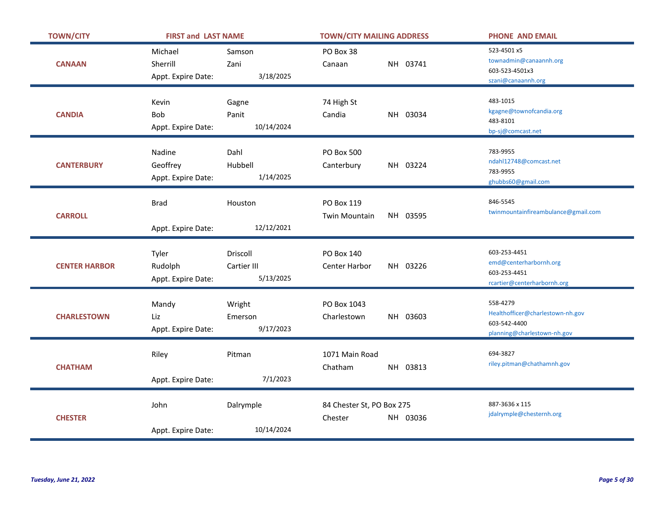| <b>TOWN/CITY</b>     | <b>FIRST and LAST NAME</b>                      |                                      | <b>TOWN/CITY MAILING ADDRESS</b>                 | <b>PHONE AND EMAIL</b>                                                                      |
|----------------------|-------------------------------------------------|--------------------------------------|--------------------------------------------------|---------------------------------------------------------------------------------------------|
| <b>CANAAN</b>        | Michael<br>Sherrill<br>Appt. Expire Date:       | Samson<br>Zani<br>3/18/2025          | PO Box 38<br>NH 03741<br>Canaan                  | 523-4501 x5<br>townadmin@canaannh.org<br>603-523-4501x3<br>szani@canaannh.org               |
| <b>CANDIA</b>        | Kevin<br>Bob<br>Appt. Expire Date:              | Gagne<br>Panit<br>10/14/2024         | 74 High St<br>NH 03034<br>Candia                 | 483-1015<br>kgagne@townofcandia.org<br>483-8101<br>bp-sj@comcast.net                        |
| <b>CANTERBURY</b>    | <b>Nadine</b><br>Geoffrey<br>Appt. Expire Date: | Dahl<br>Hubbell<br>1/14/2025         | <b>PO Box 500</b><br>NH 03224<br>Canterbury      | 783-9955<br>ndahl12748@comcast.net<br>783-9955<br>ghubbs60@gmail.com                        |
| <b>CARROLL</b>       | <b>Brad</b><br>Appt. Expire Date:               | Houston<br>12/12/2021                | PO Box 119<br>NH 03595<br><b>Twin Mountain</b>   | 846-5545<br>twinmountainfireambulance@gmail.com                                             |
| <b>CENTER HARBOR</b> | Tyler<br>Rudolph<br>Appt. Expire Date:          | Driscoll<br>Cartier III<br>5/13/2025 | <b>PO Box 140</b><br>NH 03226<br>Center Harbor   | 603-253-4451<br>emd@centerharbornh.org<br>603-253-4451<br>rcartier@centerharbornh.org       |
| <b>CHARLESTOWN</b>   | Mandy<br>Liz<br>Appt. Expire Date:              | Wright<br>Emerson<br>9/17/2023       | PO Box 1043<br>Charlestown<br>NH 03603           | 558-4279<br>Healthofficer@charlestown-nh.gov<br>603-542-4400<br>planning@charlestown-nh.gov |
| <b>CHATHAM</b>       | Riley<br>Appt. Expire Date:                     | Pitman<br>7/1/2023                   | 1071 Main Road<br>Chatham<br>NH 03813            | 694-3827<br>riley.pitman@chathamnh.gov                                                      |
| <b>CHESTER</b>       | John<br>Appt. Expire Date:                      | Dalrymple<br>10/14/2024              | 84 Chester St, PO Box 275<br>Chester<br>NH 03036 | 887-3636 x 115<br>jdalrymple@chesternh.org                                                  |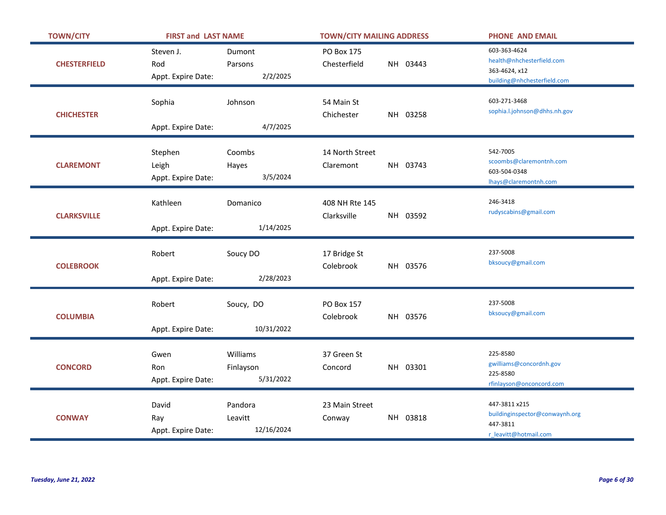| <b>TOWN/CITY</b>    | <b>FIRST and LAST NAME</b>             |                                    | <b>TOWN/CITY MAILING ADDRESS</b>           |                      | <b>PHONE AND EMAIL</b>                                                                    |
|---------------------|----------------------------------------|------------------------------------|--------------------------------------------|----------------------|-------------------------------------------------------------------------------------------|
| <b>CHESTERFIELD</b> | Steven J.<br>Rod<br>Appt. Expire Date: | Dumont<br>Parsons<br>2/2/2025      | PO Box 175<br>Chesterfield<br>NH 03443     |                      | 603-363-4624<br>health@nhchesterfield.com<br>363-4624, x12<br>building@nhchesterfield.com |
| <b>CHICHESTER</b>   | Sophia<br>Appt. Expire Date:           | Johnson<br>4/7/2025                | 54 Main St<br>Chichester<br>NH 03258       |                      | 603-271-3468<br>sophia.l.johnson@dhhs.nh.gov                                              |
| <b>CLAREMONT</b>    | Stephen<br>Leigh<br>Appt. Expire Date: | Coombs<br>Hayes<br>3/5/2024        | 14 North Street<br>NH 03743<br>Claremont   | 542-7005             | scoombs@claremontnh.com<br>603-504-0348<br>Ihays@claremontnh.com                          |
| <b>CLARKSVILLE</b>  | Kathleen<br>Appt. Expire Date:         | Domanico<br>1/14/2025              | 408 NH Rte 145<br>Clarksville<br>NH 03592  | 246-3418             | rudyscabins@gmail.com                                                                     |
| <b>COLEBROOK</b>    | Robert<br>Appt. Expire Date:           | Soucy DO<br>2/28/2023              | 17 Bridge St<br>NH 03576<br>Colebrook      | 237-5008             | bksoucy@gmail.com                                                                         |
| <b>COLUMBIA</b>     | Robert<br>Appt. Expire Date:           | Soucy, DO<br>10/31/2022            | <b>PO Box 157</b><br>Colebrook<br>NH 03576 | 237-5008             | bksoucy@gmail.com                                                                         |
| <b>CONCORD</b>      | Gwen<br>Ron<br>Appt. Expire Date:      | Williams<br>Finlayson<br>5/31/2022 | 37 Green St<br>NH 03301<br>Concord         | 225-8580<br>225-8580 | gwilliams@concordnh.gov<br>rfinlayson@onconcord.com                                       |
| <b>CONWAY</b>       | David<br>Ray<br>Appt. Expire Date:     | Pandora<br>Leavitt<br>12/16/2024   | 23 Main Street<br>NH 03818<br>Conway       | 447-3811             | 447-3811 x215<br>buildinginspector@conwaynh.org<br>r leavitt@hotmail.com                  |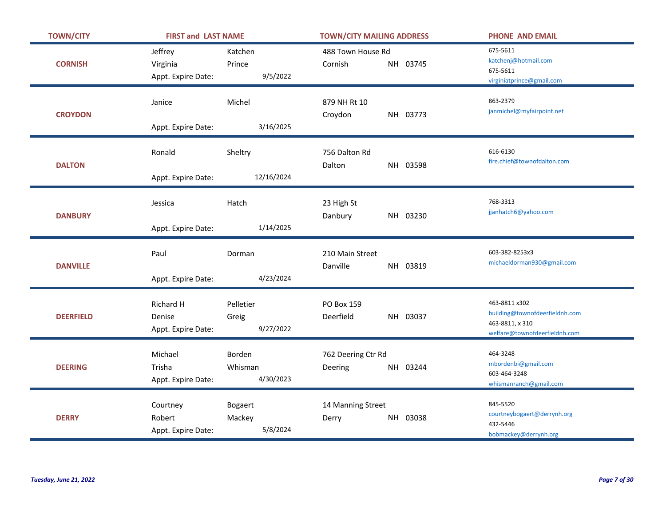| <b>TOWN/CITY</b> | <b>FIRST and LAST NAME</b>                |                                      | <b>TOWN/CITY MAILING ADDRESS</b>           | <b>PHONE AND EMAIL</b>                                                                              |
|------------------|-------------------------------------------|--------------------------------------|--------------------------------------------|-----------------------------------------------------------------------------------------------------|
| <b>CORNISH</b>   | Jeffrey<br>Virginia<br>Appt. Expire Date: | Katchen<br>Prince<br>9/5/2022        | 488 Town House Rd<br>NH 03745<br>Cornish   | 675-5611<br>katchenj@hotmail.com<br>675-5611<br>virginiatprince@gmail.com                           |
| <b>CROYDON</b>   | Janice<br>Appt. Expire Date:              | Michel<br>3/16/2025                  | 879 NH Rt 10<br>Croydon<br>NH 03773        | 863-2379<br>janmichel@myfairpoint.net                                                               |
| <b>DALTON</b>    | Ronald<br>Appt. Expire Date:              | Sheltry<br>12/16/2024                | 756 Dalton Rd<br>Dalton<br>NH 03598        | 616-6130<br>fire.chief@townofdalton.com                                                             |
| <b>DANBURY</b>   | Jessica<br>Appt. Expire Date:             | Hatch<br>1/14/2025                   | 23 High St<br>Danbury<br>NH 03230          | 768-3313<br>jjanhatch6@yahoo.com                                                                    |
| <b>DANVILLE</b>  | Paul<br>Appt. Expire Date:                | Dorman<br>4/23/2024                  | 210 Main Street<br>Danville<br>NH 03819    | 603-382-8253x3<br>michaeldorman930@gmail.com                                                        |
| <b>DEERFIELD</b> | Richard H<br>Denise<br>Appt. Expire Date: | Pelletier<br>Greig<br>9/27/2022      | <b>PO Box 159</b><br>Deerfield<br>NH 03037 | 463-8811 x302<br>building@townofdeerfieldnh.com<br>463-8811, x 310<br>welfare@townofdeerfieldnh.com |
| <b>DEERING</b>   | Michael<br>Trisha<br>Appt. Expire Date:   | Borden<br>Whisman<br>4/30/2023       | 762 Deering Ctr Rd<br>Deering<br>NH 03244  | 464-3248<br>mbordenbi@gmail.com<br>603-464-3248<br>whismanranch@gmail.com                           |
| <b>DERRY</b>     | Courtney<br>Robert<br>Appt. Expire Date:  | <b>Bogaert</b><br>Mackey<br>5/8/2024 | 14 Manning Street<br>NH 03038<br>Derry     | 845-5520<br>courtneybogaert@derrynh.org<br>432-5446<br>bobmackey@derrynh.org                        |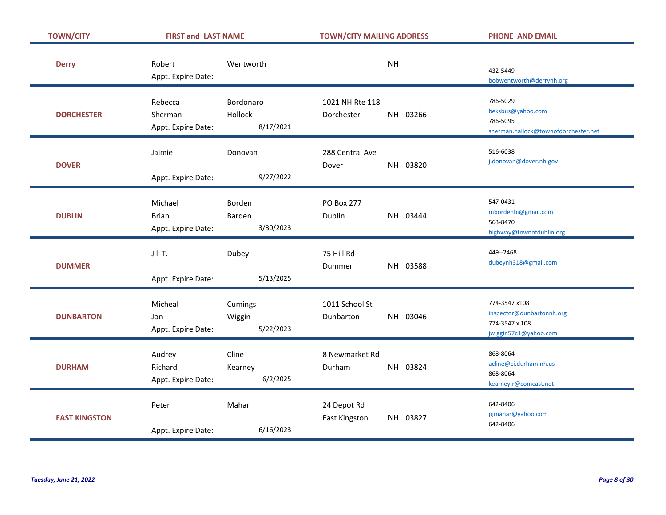| <b>TOWN/CITY</b>     | <b>FIRST and LAST NAME</b>                    |                                   | <b>TOWN/CITY MAILING ADDRESS</b> |           | <b>PHONE AND EMAIL</b>                                                                |
|----------------------|-----------------------------------------------|-----------------------------------|----------------------------------|-----------|---------------------------------------------------------------------------------------|
| <b>Derry</b>         | Robert<br>Appt. Expire Date:                  | Wentworth                         |                                  | <b>NH</b> | 432-5449<br>bobwentworth@derrynh.org                                                  |
| <b>DORCHESTER</b>    | Rebecca<br>Sherman<br>Appt. Expire Date:      | Bordonaro<br>Hollock<br>8/17/2021 | 1021 NH Rte 118<br>Dorchester    | NH 03266  | 786-5029<br>beksbus@yahoo.com<br>786-5095<br>sherman.hallock@townofdorchester.net     |
| <b>DOVER</b>         | Jaimie<br>Appt. Expire Date:                  | Donovan<br>9/27/2022              | 288 Central Ave<br>Dover         | NH 03820  | 516-6038<br>j.donovan@dover.nh.gov                                                    |
| <b>DUBLIN</b>        | Michael<br><b>Brian</b><br>Appt. Expire Date: | Borden<br>Barden<br>3/30/2023     | <b>PO Box 277</b><br>Dublin      | NH 03444  | 547-0431<br>mbordenbi@gmail.com<br>563-8470<br>highway@townofdublin.org               |
| <b>DUMMER</b>        | Jill T.<br>Appt. Expire Date:                 | Dubey<br>5/13/2025                | 75 Hill Rd<br><b>Dummer</b>      | NH 03588  | 449--2468<br>dubeynh318@gmail.com                                                     |
| <b>DUNBARTON</b>     | Micheal<br>Jon<br>Appt. Expire Date:          | Cumings<br>Wiggin<br>5/22/2023    | 1011 School St<br>Dunbarton      | NH 03046  | 774-3547 x108<br>inspector@dunbartonnh.org<br>774-3547 x 108<br>jwiggin57c1@yahoo.com |
| <b>DURHAM</b>        | Audrey<br>Richard<br>Appt. Expire Date:       | Cline<br>Kearney<br>6/2/2025      | 8 Newmarket Rd<br>Durham         | NH 03824  | 868-8064<br>acline@ci.durham.nh.us<br>868-8064<br>kearney.r@comcast.net               |
| <b>EAST KINGSTON</b> | Peter<br>Appt. Expire Date:                   | Mahar<br>6/16/2023                | 24 Depot Rd<br>East Kingston     | NH 03827  | 642-8406<br>pjmahar@yahoo.com<br>642-8406                                             |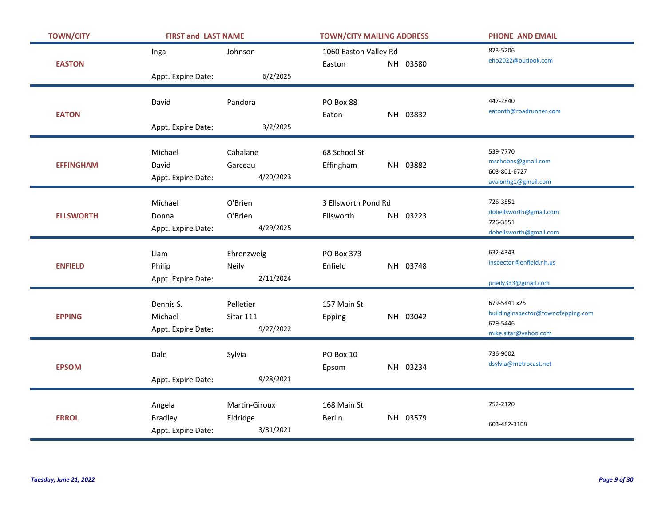| <b>TOWN/CITY</b> | <b>FIRST and LAST NAME</b>                     |                                        | <b>TOWN/CITY MAILING ADDRESS</b>             | <b>PHONE AND EMAIL</b>                                                                 |
|------------------|------------------------------------------------|----------------------------------------|----------------------------------------------|----------------------------------------------------------------------------------------|
| <b>EASTON</b>    | Inga                                           | Johnson                                | 1060 Easton Valley Rd<br>NH 03580<br>Easton  | 823-5206<br>eho2022@outlook.com                                                        |
|                  | Appt. Expire Date:                             | 6/2/2025                               |                                              |                                                                                        |
|                  | David                                          | Pandora                                | PO Box 88                                    | 447-2840<br>eatonth@roadrunner.com                                                     |
| <b>EATON</b>     | Appt. Expire Date:                             | 3/2/2025                               | NH 03832<br>Eaton                            |                                                                                        |
| <b>EFFINGHAM</b> | Michael<br>David<br>Appt. Expire Date:         | Cahalane<br>Garceau<br>4/20/2023       | 68 School St<br>Effingham<br>NH 03882        | 539-7770<br>mschobbs@gmail.com<br>603-801-6727<br>avalonhg1@gmail.com                  |
| <b>ELLSWORTH</b> | Michael<br>Donna<br>Appt. Expire Date:         | O'Brien<br>O'Brien<br>4/29/2025        | 3 Ellsworth Pond Rd<br>Ellsworth<br>NH 03223 | 726-3551<br>dobellsworth@gmail.com<br>726-3551<br>dobellsworth@gmail.com               |
| <b>ENFIELD</b>   | Liam<br>Philip<br>Appt. Expire Date:           | Ehrenzweig<br>Neily<br>2/11/2024       | PO Box 373<br>Enfield<br>NH 03748            | 632-4343<br>inspector@enfield.nh.us<br>pneily333@gmail.com                             |
| <b>EPPING</b>    | Dennis S.<br>Michael<br>Appt. Expire Date:     | Pelletier<br>Sitar 111<br>9/27/2022    | 157 Main St<br>NH 03042<br>Epping            | 679-5441 x25<br>buildinginspector@townofepping.com<br>679-5446<br>mike.sitar@yahoo.com |
| <b>EPSOM</b>     | Dale<br>Appt. Expire Date:                     | Sylvia<br>9/28/2021                    | PO Box 10<br>NH 03234<br>Epsom               | 736-9002<br>dsylvia@metrocast.net                                                      |
| <b>ERROL</b>     | Angela<br><b>Bradley</b><br>Appt. Expire Date: | Martin-Giroux<br>Eldridge<br>3/31/2021 | 168 Main St<br>NH 03579<br>Berlin            | 752-2120<br>603-482-3108                                                               |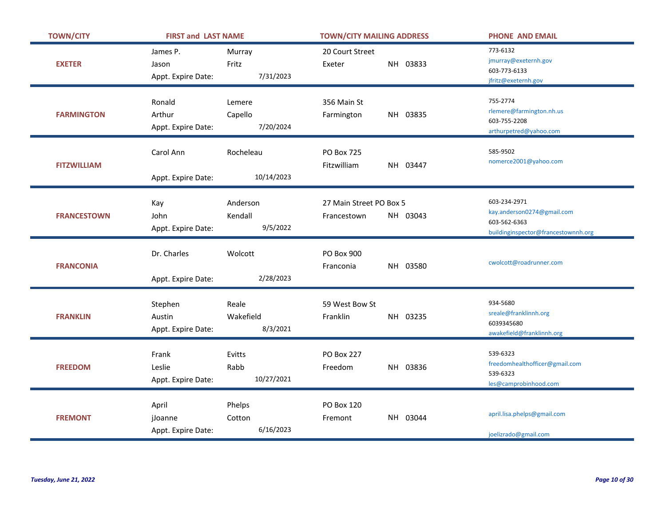| <b>TOWN/CITY</b>   | <b>FIRST and LAST NAME</b>              |                                 | <b>TOWN/CITY MAILING ADDRESS</b>                   | <b>PHONE AND EMAIL</b>                                                                            |
|--------------------|-----------------------------------------|---------------------------------|----------------------------------------------------|---------------------------------------------------------------------------------------------------|
| <b>EXETER</b>      | James P.<br>Jason<br>Appt. Expire Date: | Murray<br>Fritz<br>7/31/2023    | 20 Court Street<br>NH 03833<br>Exeter              | 773-6132<br>jmurray@exeternh.gov<br>603-773-6133<br>jfritz@exeternh.gov                           |
| <b>FARMINGTON</b>  | Ronald<br>Arthur<br>Appt. Expire Date:  | Lemere<br>Capello<br>7/20/2024  | 356 Main St<br>NH 03835<br>Farmington              | 755-2774<br>rlemere@farmington.nh.us<br>603-755-2208<br>arthurpetred@yahoo.com                    |
| <b>FITZWILLIAM</b> | Carol Ann<br>Appt. Expire Date:         | Rocheleau<br>10/14/2023         | <b>PO Box 725</b><br>Fitzwilliam<br>NH 03447       | 585-9502<br>nomerce2001@yahoo.com                                                                 |
| <b>FRANCESTOWN</b> | Kay<br>John<br>Appt. Expire Date:       | Anderson<br>Kendall<br>9/5/2022 | 27 Main Street PO Box 5<br>NH 03043<br>Francestown | 603-234-2971<br>kay.anderson0274@gmail.com<br>603-562-6363<br>buildinginspector@francestownnh.org |
| <b>FRANCONIA</b>   | Dr. Charles<br>Appt. Expire Date:       | Wolcott<br>2/28/2023            | PO Box 900<br>NH 03580<br>Franconia                | cwolcott@roadrunner.com                                                                           |
| <b>FRANKLIN</b>    | Stephen<br>Austin<br>Appt. Expire Date: | Reale<br>Wakefield<br>8/3/2021  | 59 West Bow St<br>Franklin<br>NH 03235             | 934-5680<br>sreale@franklinnh.org<br>6039345680<br>awakefield@franklinnh.org                      |
| <b>FREEDOM</b>     | Frank<br>Leslie<br>Appt. Expire Date:   | Evitts<br>Rabb<br>10/27/2021    | <b>PO Box 227</b><br>NH 03836<br>Freedom           | 539-6323<br>freedomhealthofficer@gmail.com<br>539-6323<br>les@camprobinhood.com                   |
| <b>FREMONT</b>     | April<br>jJoanne<br>Appt. Expire Date:  | Phelps<br>Cotton<br>6/16/2023   | <b>PO Box 120</b><br>NH 03044<br>Fremont           | april.lisa.phelps@gmail.com<br>joelizrado@gmail.com                                               |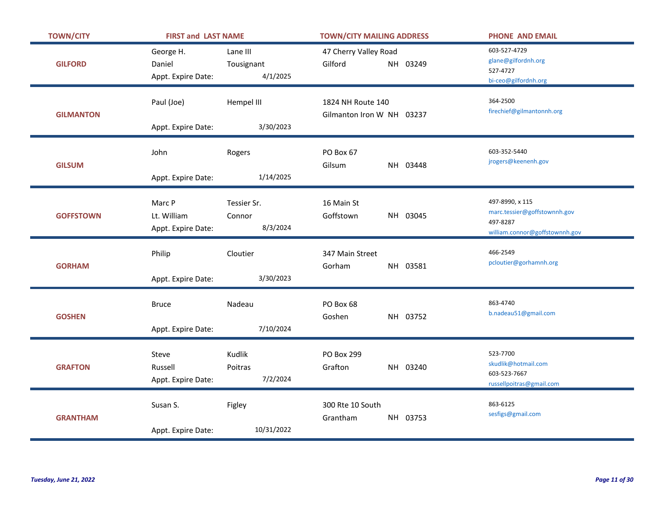| <b>TOWN/CITY</b> | <b>FIRST and LAST NAME</b>                  |                                    | <b>TOWN/CITY MAILING ADDRESS</b>               | <b>PHONE AND EMAIL</b>                                                                        |
|------------------|---------------------------------------------|------------------------------------|------------------------------------------------|-----------------------------------------------------------------------------------------------|
| <b>GILFORD</b>   | George H.<br>Daniel<br>Appt. Expire Date:   | Lane III<br>Tousignant<br>4/1/2025 | 47 Cherry Valley Road<br>Gilford<br>NH 03249   | 603-527-4729<br>glane@gilfordnh.org<br>527-4727<br>bi-ceo@gilfordnh.org                       |
| <b>GILMANTON</b> | Paul (Joe)<br>Appt. Expire Date:            | Hempel III<br>3/30/2023            | 1824 NH Route 140<br>Gilmanton Iron W NH 03237 | 364-2500<br>firechief@gilmantonnh.org                                                         |
| <b>GILSUM</b>    | John<br>Appt. Expire Date:                  | Rogers<br>1/14/2025                | PO Box 67<br>Gilsum<br>NH 03448                | 603-352-5440<br>jrogers@keenenh.gov                                                           |
| <b>GOFFSTOWN</b> | Marc P<br>Lt. William<br>Appt. Expire Date: | Tessier Sr.<br>Connor<br>8/3/2024  | 16 Main St<br>Goffstown<br>NH 03045            | 497-8990, x 115<br>marc.tessier@goffstownnh.gov<br>497-8287<br>william.connor@goffstownnh.gov |
| <b>GORHAM</b>    | Philip<br>Appt. Expire Date:                | Cloutier<br>3/30/2023              | 347 Main Street<br>Gorham<br>NH 03581          | 466-2549<br>pcloutier@gorhamnh.org                                                            |
| <b>GOSHEN</b>    | <b>Bruce</b><br>Appt. Expire Date:          | Nadeau<br>7/10/2024                | PO Box 68<br>Goshen<br>NH 03752                | 863-4740<br>b.nadeau51@gmail.com                                                              |
| <b>GRAFTON</b>   | Steve<br>Russell<br>Appt. Expire Date:      | Kudlik<br>Poitras<br>7/2/2024      | <b>PO Box 299</b><br>Grafton<br>NH 03240       | 523-7700<br>skudlik@hotmail.com<br>603-523-7667<br>russellpoitras@gmail.com                   |
| <b>GRANTHAM</b>  | Susan S.<br>Appt. Expire Date:              | Figley<br>10/31/2022               | 300 Rte 10 South<br>Grantham<br>NH 03753       | 863-6125<br>sesfigs@gmail.com                                                                 |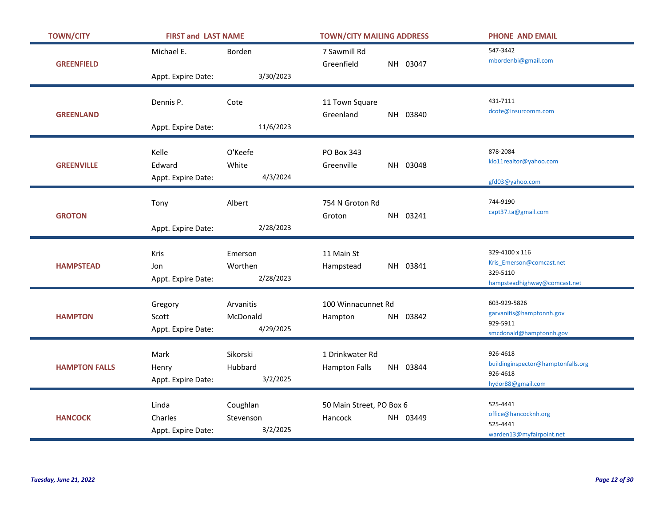| <b>TOWN/CITY</b>     | <b>FIRST and LAST NAME</b>             |                                    | <b>TOWN/CITY MAILING ADDRESS</b>                    | <b>PHONE AND EMAIL</b>                                                                 |
|----------------------|----------------------------------------|------------------------------------|-----------------------------------------------------|----------------------------------------------------------------------------------------|
| <b>GREENFIELD</b>    | Michael E.                             | Borden                             | 7 Sawmill Rd<br>Greenfield<br>NH 03047              | 547-3442<br>mbordenbi@gmail.com                                                        |
|                      | Appt. Expire Date:                     | 3/30/2023                          |                                                     |                                                                                        |
|                      | Dennis P.                              | Cote                               | 11 Town Square                                      | 431-7111<br>dcote@insurcomm.com                                                        |
| <b>GREENLAND</b>     | Appt. Expire Date:                     | 11/6/2023                          | Greenland<br>NH 03840                               |                                                                                        |
| <b>GREENVILLE</b>    | Kelle<br>Edward                        | O'Keefe<br>White                   | PO Box 343<br>Greenville<br>NH 03048                | 878-2084<br>klo11realtor@yahoo.com                                                     |
|                      | Appt. Expire Date:                     | 4/3/2024                           |                                                     | gfd03@yahoo.com                                                                        |
|                      | Tony                                   | Albert                             | 754 N Groton Rd                                     | 744-9190                                                                               |
| <b>GROTON</b>        | Appt. Expire Date:                     | 2/28/2023                          | NH 03241<br>Groton                                  | capt37.ta@gmail.com                                                                    |
| <b>HAMPSTEAD</b>     | Kris<br>Jon<br>Appt. Expire Date:      | Emerson<br>Worthen<br>2/28/2023    | 11 Main St<br>NH 03841<br>Hampstead                 | 329-4100 x 116<br>Kris_Emerson@comcast.net<br>329-5110<br>hampsteadhighway@comcast.net |
| <b>HAMPTON</b>       | Gregory<br>Scott<br>Appt. Expire Date: | Arvanitis<br>McDonald<br>4/29/2025 | 100 Winnacunnet Rd<br>NH 03842<br>Hampton           | 603-929-5826<br>garvanitis@hamptonnh.gov<br>929-5911<br>smcdonald@hamptonnh.gov        |
| <b>HAMPTON FALLS</b> | Mark<br>Henry<br>Appt. Expire Date:    | Sikorski<br>Hubbard<br>3/2/2025    | 1 Drinkwater Rd<br>NH 03844<br><b>Hampton Falls</b> | 926-4618<br>buildinginspector@hamptonfalls.org<br>926-4618<br>hydor88@gmail.com        |
| <b>HANCOCK</b>       | Linda<br>Charles<br>Appt. Expire Date: | Coughlan<br>Stevenson<br>3/2/2025  | 50 Main Street, PO Box 6<br>Hancock<br>NH 03449     | 525-4441<br>office@hancocknh.org<br>525-4441<br>warden13@myfairpoint.net               |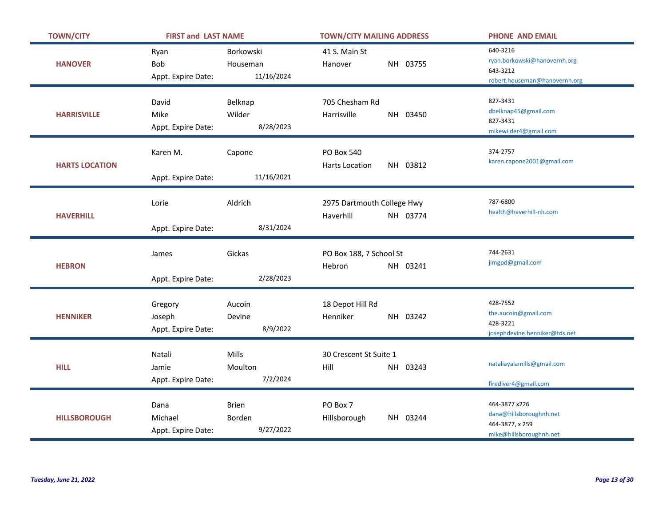| <b>TOWN/CITY</b>      | <b>FIRST and LAST NAME</b>               |                                     | <b>TOWN/CITY MAILING ADDRESS</b>                       | <b>PHONE AND EMAIL</b>                                                                 |
|-----------------------|------------------------------------------|-------------------------------------|--------------------------------------------------------|----------------------------------------------------------------------------------------|
| <b>HANOVER</b>        | Ryan<br><b>Bob</b><br>Appt. Expire Date: | Borkowski<br>Houseman<br>11/16/2024 | 41 S. Main St<br>NH 03755<br>Hanover                   | 640-3216<br>ryan.borkowski@hanovernh.org<br>643-3212<br>robert.houseman@hanovernh.org  |
| <b>HARRISVILLE</b>    | David<br>Mike<br>Appt. Expire Date:      | Belknap<br>Wilder<br>8/28/2023      | 705 Chesham Rd<br>Harrisville<br>NH 03450              | 827-3431<br>dbelknap45@gmail.com<br>827-3431<br>mikewilder4@gmail.com                  |
| <b>HARTS LOCATION</b> | Karen M.<br>Appt. Expire Date:           | Capone<br>11/16/2021                | <b>PO Box 540</b><br>NH 03812<br><b>Harts Location</b> | 374-2757<br>karen.capone2001@gmail.com                                                 |
| <b>HAVERHILL</b>      | Lorie<br>Appt. Expire Date:              | Aldrich<br>8/31/2024                | 2975 Dartmouth College Hwy<br>Haverhill<br>NH 03774    | 787-6800<br>health@haverhill-nh.com                                                    |
| <b>HEBRON</b>         | James<br>Appt. Expire Date:              | Gickas<br>2/28/2023                 | PO Box 188, 7 School St<br>NH 03241<br>Hebron          | 744-2631<br>jimgpd@gmail.com                                                           |
| <b>HENNIKER</b>       | Gregory<br>Joseph<br>Appt. Expire Date:  | Aucoin<br>Devine<br>8/9/2022        | 18 Depot Hill Rd<br>Henniker<br>NH 03242               | 428-7552<br>the.aucoin@gmail.com<br>428-3221<br>josephdevine.henniker@tds.net          |
| <b>HILL</b>           | Natali<br>Jamie<br>Appt. Expire Date:    | Mills<br>Moulton<br>7/2/2024        | 30 Crescent St Suite 1<br>NH 03243<br>Hill             | nataliayalamills@gmail.com<br>firediver4@gmail.com                                     |
| <b>HILLSBOROUGH</b>   | Dana<br>Michael<br>Appt. Expire Date:    | <b>Brien</b><br>Borden<br>9/27/2022 | PO Box 7<br>NH 03244<br>Hillsborough                   | 464-3877 x226<br>dana@hillsboroughnh.net<br>464-3877, x 259<br>mike@hillsboroughnh.net |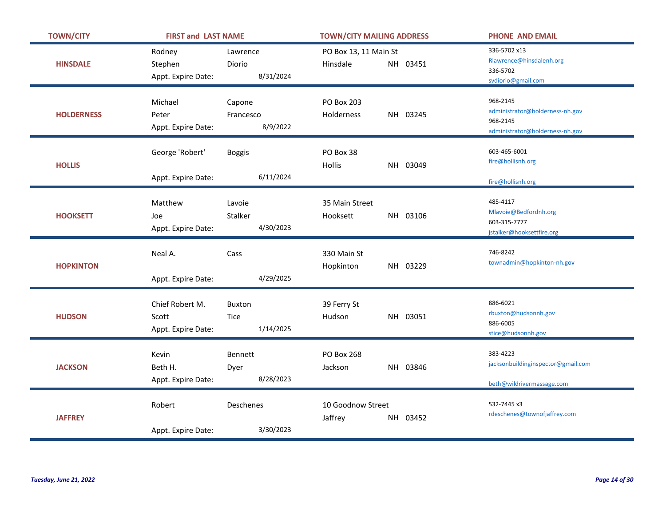| <b>TOWN/CITY</b>  | <b>FIRST and LAST NAME</b>                     |                                 | <b>TOWN/CITY MAILING ADDRESS</b>              | <b>PHONE AND EMAIL</b>                                                                     |
|-------------------|------------------------------------------------|---------------------------------|-----------------------------------------------|--------------------------------------------------------------------------------------------|
| <b>HINSDALE</b>   | Rodney<br>Stephen<br>Appt. Expire Date:        | Lawrence<br>Diorio<br>8/31/2024 | PO Box 13, 11 Main St<br>Hinsdale<br>NH 03451 | 336-5702 x13<br>Rlawrence@hinsdalenh.org<br>336-5702<br>svdiorio@gmail.com                 |
| <b>HOLDERNESS</b> | Michael<br>Peter<br>Appt. Expire Date:         | Capone<br>Francesco<br>8/9/2022 | <b>PO Box 203</b><br>NH 03245<br>Holderness   | 968-2145<br>administrator@holderness-nh.gov<br>968-2145<br>administrator@holderness-nh.gov |
| <b>HOLLIS</b>     | George 'Robert'<br>Appt. Expire Date:          | <b>Boggis</b><br>6/11/2024      | PO Box 38<br>Hollis<br>NH 03049               | 603-465-6001<br>fire@hollisnh.org<br>fire@hollisnh.org                                     |
| <b>HOOKSETT</b>   | Matthew<br>Joe<br>Appt. Expire Date:           | Lavoie<br>Stalker<br>4/30/2023  | 35 Main Street<br>Hooksett<br>NH 03106        | 485-4117<br>Mlavoie@Bedfordnh.org<br>603-315-7777<br>jstalker@hooksettfire.org             |
| <b>HOPKINTON</b>  | Neal A.<br>Appt. Expire Date:                  | Cass<br>4/29/2025               | 330 Main St<br>Hopkinton<br>NH 03229          | 746-8242<br>townadmin@hopkinton-nh.gov                                                     |
| <b>HUDSON</b>     | Chief Robert M.<br>Scott<br>Appt. Expire Date: | Buxton<br>Tice<br>1/14/2025     | 39 Ferry St<br>NH 03051<br>Hudson             | 886-6021<br>rbuxton@hudsonnh.gov<br>886-6005<br>stice@hudsonnh.gov                         |
| <b>JACKSON</b>    | Kevin<br>Beth H.<br>Appt. Expire Date:         | Bennett<br>Dyer<br>8/28/2023    | <b>PO Box 268</b><br>Jackson<br>NH 03846      | 383-4223<br>jacksonbuildinginspector@gmail.com<br>beth@wildrivermassage.com                |
| <b>JAFFREY</b>    | Robert<br>Appt. Expire Date:                   | Deschenes<br>3/30/2023          | 10 Goodnow Street<br>Jaffrey<br>NH 03452      | 532-7445 x3<br>rdeschenes@townofjaffrey.com                                                |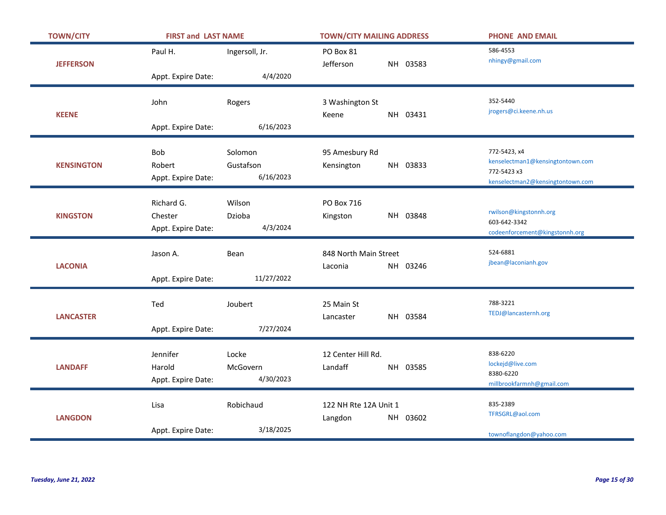| <b>TOWN/CITY</b>  | <b>FIRST and LAST NAME</b>                  |                                   | <b>TOWN/CITY MAILING ADDRESS</b>             | <b>PHONE AND EMAIL</b>                                                                              |
|-------------------|---------------------------------------------|-----------------------------------|----------------------------------------------|-----------------------------------------------------------------------------------------------------|
| <b>JEFFERSON</b>  | Paul H.                                     | Ingersoll, Jr.                    | PO Box 81<br>Jefferson<br>NH 03583           | 586-4553<br>nhingy@gmail.com                                                                        |
|                   | Appt. Expire Date:                          | 4/4/2020                          |                                              |                                                                                                     |
| <b>KEENE</b>      | John                                        | Rogers                            | 3 Washington St<br>NH 03431<br>Keene         | 352-5440<br>jrogers@ci.keene.nh.us                                                                  |
|                   | Appt. Expire Date:                          | 6/16/2023                         |                                              |                                                                                                     |
| <b>KENSINGTON</b> | <b>Bob</b><br>Robert<br>Appt. Expire Date:  | Solomon<br>Gustafson<br>6/16/2023 | 95 Amesbury Rd<br>NH 03833<br>Kensington     | 772-5423, x4<br>kenselectman1@kensingtontown.com<br>772-5423 x3<br>kenselectman2@kensingtontown.com |
| <b>KINGSTON</b>   | Richard G.<br>Chester<br>Appt. Expire Date: | Wilson<br>Dzioba<br>4/3/2024      | PO Box 716<br>NH 03848<br>Kingston           | rwilson@kingstonnh.org<br>603-642-3342<br>codeenforcement@kingstonnh.org                            |
| <b>LACONIA</b>    | Jason A.<br>Appt. Expire Date:              | <b>Bean</b><br>11/27/2022         | 848 North Main Street<br>NH 03246<br>Laconia | 524-6881<br>jbean@laconianh.gov                                                                     |
| <b>LANCASTER</b>  | Ted<br>Appt. Expire Date:                   | Joubert<br>7/27/2024              | 25 Main St<br>NH 03584<br>Lancaster          | 788-3221<br>TEDJ@lancasternh.org                                                                    |
| <b>LANDAFF</b>    | Jennifer<br>Harold<br>Appt. Expire Date:    | Locke<br>McGovern<br>4/30/2023    | 12 Center Hill Rd.<br>Landaff<br>NH 03585    | 838-6220<br>lockejd@live.com<br>8380-6220<br>millbrookfarmnh@gmail.com                              |
| <b>LANGDON</b>    | Lisa<br>Appt. Expire Date:                  | Robichaud<br>3/18/2025            | 122 NH Rte 12A Unit 1<br>NH 03602<br>Langdon | 835-2389<br>TFRSGRL@aol.com<br>townoflangdon@yahoo.com                                              |
|                   |                                             |                                   |                                              |                                                                                                     |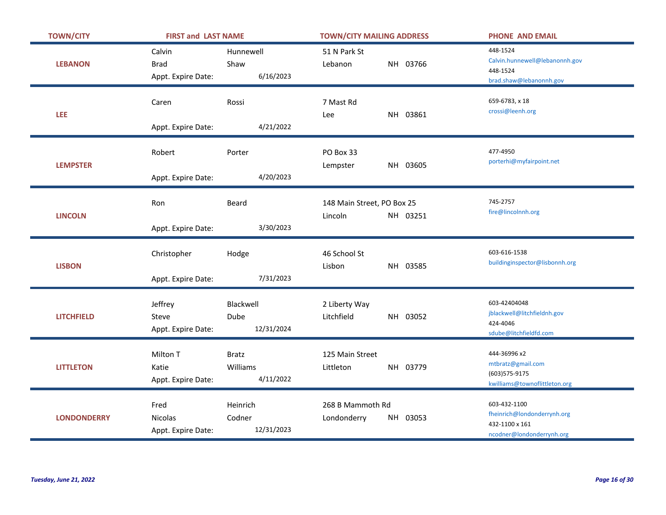| <b>TOWN/CITY</b>   | <b>FIRST and LAST NAME</b>                  |                                       | <b>TOWN/CITY MAILING ADDRESS</b>                  | <b>PHONE AND EMAIL</b>                                                                     |
|--------------------|---------------------------------------------|---------------------------------------|---------------------------------------------------|--------------------------------------------------------------------------------------------|
| <b>LEBANON</b>     | Calvin<br><b>Brad</b><br>Appt. Expire Date: | Hunnewell<br>Shaw<br>6/16/2023        | 51 N Park St<br>NH 03766<br>Lebanon               | 448-1524<br>Calvin.hunnewell@lebanonnh.gov<br>448-1524<br>brad.shaw@lebanonnh.gov          |
| LEE                | Caren<br>Appt. Expire Date:                 | Rossi<br>4/21/2022                    | 7 Mast Rd<br>NH 03861<br>Lee                      | 659-6783, x 18<br>crossi@leenh.org                                                         |
| <b>LEMPSTER</b>    | Robert<br>Appt. Expire Date:                | Porter<br>4/20/2023                   | PO Box 33<br>NH 03605<br>Lempster                 | 477-4950<br>porterhi@myfairpoint.net                                                       |
| <b>LINCOLN</b>     | Ron<br>Appt. Expire Date:                   | Beard<br>3/30/2023                    | 148 Main Street, PO Box 25<br>Lincoln<br>NH 03251 | 745-2757<br>fire@lincolnnh.org                                                             |
| <b>LISBON</b>      | Christopher<br>Appt. Expire Date:           | Hodge<br>7/31/2023                    | 46 School St<br>Lisbon<br>NH 03585                | 603-616-1538<br>buildinginspector@lisbonnh.org                                             |
| <b>LITCHFIELD</b>  | Jeffrey<br>Steve<br>Appt. Expire Date:      | Blackwell<br>Dube<br>12/31/2024       | 2 Liberty Way<br>Litchfield<br>NH 03052           | 603-42404048<br>jblackwell@litchfieldnh.gov<br>424-4046<br>sdube@litchfieldfd.com          |
| <b>LITTLETON</b>   | Milton T<br>Katie<br>Appt. Expire Date:     | <b>Bratz</b><br>Williams<br>4/11/2022 | 125 Main Street<br>NH 03779<br>Littleton          | 444-36996 x2<br>mtbratz@gmail.com<br>(603) 575-9175<br>kwilliams@townoflittleton.org       |
| <b>LONDONDERRY</b> | Fred<br>Nicolas<br>Appt. Expire Date:       | Heinrich<br>Codner<br>12/31/2023      | 268 B Mammoth Rd<br>NH 03053<br>Londonderry       | 603-432-1100<br>fheinrich@londonderrynh.org<br>432-1100 x 161<br>ncodner@londonderrynh.org |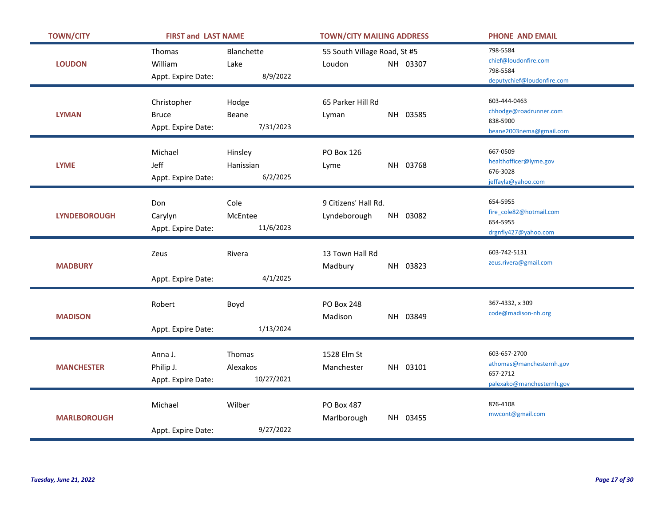| <b>TOWN/CITY</b>    | <b>FIRST and LAST NAME</b> |                    | <b>TOWN/CITY MAILING ADDRESS</b> |  |          | <b>PHONE AND EMAIL</b>           |
|---------------------|----------------------------|--------------------|----------------------------------|--|----------|----------------------------------|
|                     | Thomas                     | <b>Blanchette</b>  | 55 South Village Road, St #5     |  |          | 798-5584<br>chief@loudonfire.com |
| <b>LOUDON</b>       | William                    | Lake               | Loudon                           |  | NH 03307 | 798-5584                         |
|                     | Appt. Expire Date:         | 8/9/2022           |                                  |  |          | deputychief@loudonfire.com       |
|                     | Christopher                | Hodge              | 65 Parker Hill Rd                |  |          | 603-444-0463                     |
| <b>LYMAN</b>        |                            |                    |                                  |  | NH 03585 | chhodge@roadrunner.com           |
|                     | <b>Bruce</b>               | Beane<br>7/31/2023 | Lyman                            |  |          | 838-5900                         |
|                     | Appt. Expire Date:         |                    |                                  |  |          | beane2003nema@gmail.com          |
|                     | Michael                    | Hinsley            | <b>PO Box 126</b>                |  |          | 667-0509                         |
| <b>LYME</b>         | Jeff                       | Hanissian          | Lyme                             |  | NH 03768 | healthofficer@lyme.gov           |
|                     | Appt. Expire Date:         | 6/2/2025           |                                  |  |          | 676-3028<br>jeffayla@yahoo.com   |
|                     |                            |                    |                                  |  |          |                                  |
|                     | Don                        | Cole               | 9 Citizens' Hall Rd.             |  |          | 654-5955                         |
| <b>LYNDEBOROUGH</b> | Carylyn                    | McEntee            | Lyndeborough                     |  | NH 03082 | fire_cole82@hotmail.com          |
|                     | Appt. Expire Date:         | 11/6/2023          |                                  |  |          | 654-5955<br>drgnfly427@yahoo.com |
|                     |                            |                    |                                  |  |          |                                  |
|                     | Zeus                       | Rivera             | 13 Town Hall Rd                  |  |          | 603-742-5131                     |
| <b>MADBURY</b>      |                            |                    | Madbury                          |  | NH 03823 | zeus.rivera@gmail.com            |
|                     | Appt. Expire Date:         | 4/1/2025           |                                  |  |          |                                  |
|                     | Robert                     | Boyd               | <b>PO Box 248</b>                |  |          | 367-4332, x 309                  |
| <b>MADISON</b>      |                            |                    | Madison                          |  | NH 03849 | code@madison-nh.org              |
|                     | Appt. Expire Date:         | 1/13/2024          |                                  |  |          |                                  |
|                     |                            |                    |                                  |  |          |                                  |
|                     |                            |                    |                                  |  |          |                                  |
|                     | Anna J.                    | Thomas             | 1528 Elm St                      |  |          | 603-657-2700                     |
| <b>MANCHESTER</b>   | Philip J.                  | Alexakos           | Manchester                       |  | NH 03101 | athomas@manchesternh.gov         |
|                     | Appt. Expire Date:         | 10/27/2021         |                                  |  |          | 657-2712                         |
|                     |                            |                    |                                  |  |          | palexako@manchesternh.gov        |
|                     | Michael                    | Wilber             | <b>PO Box 487</b>                |  |          | 876-4108                         |
| <b>MARLBOROUGH</b>  |                            |                    | Marlborough                      |  | NH 03455 | mwcont@gmail.com                 |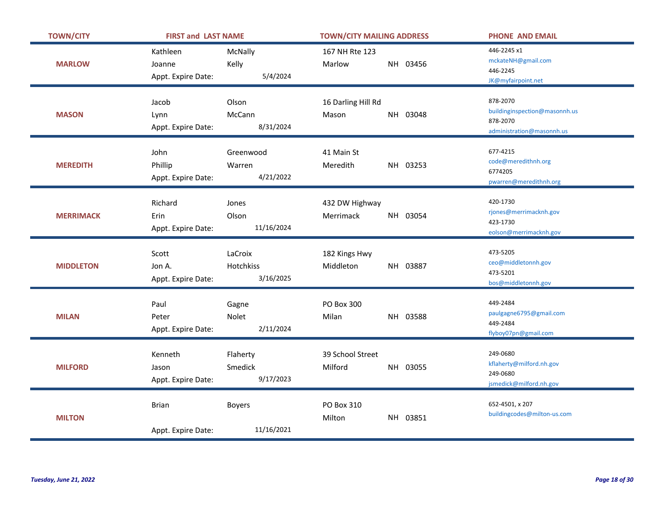| <b>TOWN/CITY</b> | <b>FIRST and LAST NAME</b>               |                                   | <b>TOWN/CITY MAILING ADDRESS</b> |          | <b>PHONE AND EMAIL</b>                                                             |
|------------------|------------------------------------------|-----------------------------------|----------------------------------|----------|------------------------------------------------------------------------------------|
| <b>MARLOW</b>    | Kathleen<br>Joanne<br>Appt. Expire Date: | McNally<br>Kelly<br>5/4/2024      | 167 NH Rte 123<br>Marlow         | NH 03456 | 446-2245 x1<br>mckateNH@gmail.com<br>446-2245<br>JK@myfairpoint.net                |
| <b>MASON</b>     | Jacob<br>Lynn<br>Appt. Expire Date:      | Olson<br>McCann<br>8/31/2024      | 16 Darling Hill Rd<br>Mason      | NH 03048 | 878-2070<br>buildinginspection@masonnh.us<br>878-2070<br>administration@masonnh.us |
| <b>MEREDITH</b>  | John<br>Phillip<br>Appt. Expire Date:    | Greenwood<br>Warren<br>4/21/2022  | 41 Main St<br>Meredith           | NH 03253 | 677-4215<br>code@meredithnh.org<br>6774205<br>pwarren@meredithnh.org               |
| <b>MERRIMACK</b> | Richard<br>Erin<br>Appt. Expire Date:    | Jones<br>Olson<br>11/16/2024      | 432 DW Highway<br>Merrimack      | NH 03054 | 420-1730<br>rjones@merrimacknh.gov<br>423-1730<br>eolson@merrimacknh.gov           |
| <b>MIDDLETON</b> | Scott<br>Jon A.<br>Appt. Expire Date:    | LaCroix<br>Hotchkiss<br>3/16/2025 | 182 Kings Hwy<br>Middleton       | NH 03887 | 473-5205<br>ceo@middletonnh.gov<br>473-5201<br>bos@middletonnh.gov                 |
| <b>MILAN</b>     | Paul<br>Peter<br>Appt. Expire Date:      | Gagne<br>Nolet<br>2/11/2024       | PO Box 300<br>Milan              | NH 03588 | 449-2484<br>paulgagne6795@gmail.com<br>449-2484<br>flyboy07pn@gmail.com            |
| <b>MILFORD</b>   | Kenneth<br>Jason<br>Appt. Expire Date:   | Flaherty<br>Smedick<br>9/17/2023  | 39 School Street<br>Milford      | NH 03055 | 249-0680<br>kflaherty@milford.nh.gov<br>249-0680<br>jsmedick@milford.nh.gov        |
| <b>MILTON</b>    | <b>Brian</b><br>Appt. Expire Date:       | <b>Boyers</b><br>11/16/2021       | PO Box 310<br>Milton             | NH 03851 | 652-4501, x 207<br>buildingcodes@milton-us.com                                     |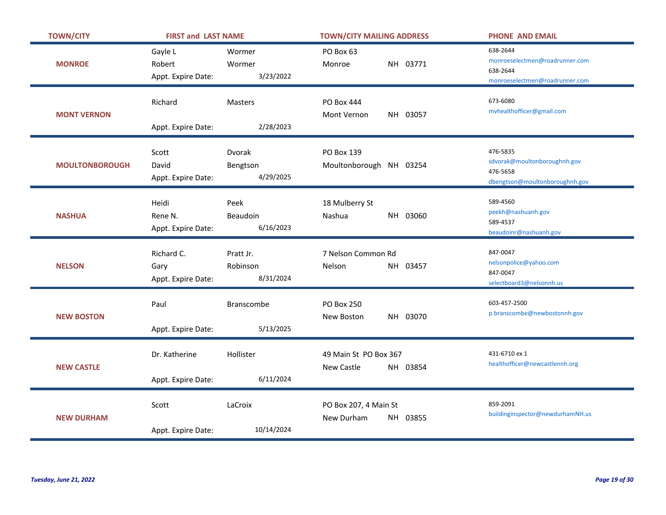| <b>TOWN/CITY</b>      | <b>FIRST and LAST NAME</b>               |                                    | <b>TOWN/CITY MAILING ADDRESS</b>                | <b>PHONE AND EMAIL</b>                                                                   |
|-----------------------|------------------------------------------|------------------------------------|-------------------------------------------------|------------------------------------------------------------------------------------------|
| <b>MONROE</b>         | Gayle L<br>Robert<br>Appt. Expire Date:  | Wormer<br>Wormer<br>3/23/2022      | PO Box 63<br>NH 03771<br>Monroe                 | 638-2644<br>monroeselectmen@roadrunner.com<br>638-2644<br>monroeselectmen@roadrunner.com |
| <b>MONT VERNON</b>    | Richard<br>Appt. Expire Date:            | <b>Masters</b><br>2/28/2023        | <b>PO Box 444</b><br>Mont Vernon<br>NH 03057    | 673-6080<br>mvhealthofficer@gmail.com                                                    |
| <b>MOULTONBOROUGH</b> | Scott<br>David<br>Appt. Expire Date:     | Dvorak<br>Bengtson<br>4/29/2025    | PO Box 139<br>Moultonborough NH 03254           | 476-5835<br>sdvorak@moultonboroughnh.gov<br>476-5658<br>dbengtson@moultonboroughnh.gov   |
| <b>NASHUA</b>         | Heidi<br>Rene N.<br>Appt. Expire Date:   | Peek<br>Beaudoin<br>6/16/2023      | 18 Mulberry St<br>Nashua<br>NH 03060            | 589-4560<br>peekh@nashuanh.gov<br>589-4537<br>beaudoinr@nashuanh.gov                     |
| <b>NELSON</b>         | Richard C.<br>Gary<br>Appt. Expire Date: | Pratt Jr.<br>Robinson<br>8/31/2024 | 7 Nelson Common Rd<br>Nelson<br>NH 03457        | 847-0047<br>nelsonpolice@yahoo.com<br>847-0047<br>selectboard3@nelsonnh.us               |
| <b>NEW BOSTON</b>     | Paul<br>Appt. Expire Date:               | Branscombe<br>5/13/2025            | <b>PO Box 250</b><br>NH 03070<br>New Boston     | 603-457-2500<br>p.branscombe@newbostonnh.gov                                             |
| <b>NEW CASTLE</b>     | Dr. Katherine<br>Appt. Expire Date:      | Hollister<br>6/11/2024             | 49 Main St PO Box 367<br>New Castle<br>NH 03854 | 431-6710 ex 1<br>healthofficer@newcastlennh.org                                          |
| <b>NEW DURHAM</b>     | Scott<br>Appt. Expire Date:              | LaCroix<br>10/14/2024              | PO Box 207, 4 Main St<br>New Durham<br>NH 03855 | 859-2091<br>buildinginspector@newdurhamNH.us                                             |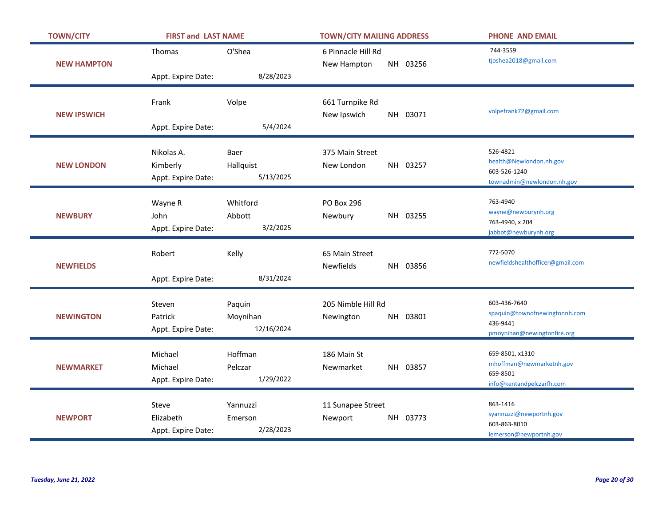| <b>TOWN/CITY</b>   | <b>FIRST and LAST NAME</b>                   |                                  | <b>TOWN/CITY MAILING ADDRESS</b>               | <b>PHONE AND EMAIL</b>                                                                   |
|--------------------|----------------------------------------------|----------------------------------|------------------------------------------------|------------------------------------------------------------------------------------------|
| <b>NEW HAMPTON</b> | Thomas                                       | O'Shea                           | 6 Pinnacle Hill Rd<br>NH 03256<br>New Hampton  | 744-3559<br>tjoshea2018@gmail.com                                                        |
|                    | Appt. Expire Date:                           | 8/28/2023                        |                                                |                                                                                          |
| <b>NEW IPSWICH</b> | Frank<br>Appt. Expire Date:                  | Volpe<br>5/4/2024                | 661 Turnpike Rd<br>New Ipswich<br>NH 03071     | volpefrank72@gmail.com                                                                   |
| <b>NEW LONDON</b>  | Nikolas A.<br>Kimberly<br>Appt. Expire Date: | Baer<br>Hallquist<br>5/13/2025   | 375 Main Street<br>NH 03257<br>New London      | 526-4821<br>health@Newlondon.nh.gov<br>603-526-1240<br>townadmin@newlondon.nh.gov        |
| <b>NEWBURY</b>     | Wayne R<br>John<br>Appt. Expire Date:        | Whitford<br>Abbott<br>3/2/2025   | PO Box 296<br>NH 03255<br>Newbury              | 763-4940<br>wayne@newburynh.org<br>763-4940, x 204<br>jabbot@newburynh.org               |
| <b>NEWFIELDS</b>   | Robert<br>Appt. Expire Date:                 | Kelly<br>8/31/2024               | 65 Main Street<br>NH 03856<br><b>Newfields</b> | 772-5070<br>newfieldshealthofficer@gmail.com                                             |
| <b>NEWINGTON</b>   | Steven<br>Patrick<br>Appt. Expire Date:      | Paquin<br>Moynihan<br>12/16/2024 | 205 Nimble Hill Rd<br>NH 03801<br>Newington    | 603-436-7640<br>spaquin@townofnewingtonnh.com<br>436-9441<br>pmoynihan@newingtonfire.org |
| <b>NEWMARKET</b>   | Michael<br>Michael<br>Appt. Expire Date:     | Hoffman<br>Pelczar<br>1/29/2022  | 186 Main St<br>NH 03857<br>Newmarket           | 659-8501, x1310<br>mhoffman@newmarketnh.gov<br>659-8501<br>info@kentandpelczarfh.com     |
| <b>NEWPORT</b>     | Steve<br>Elizabeth<br>Appt. Expire Date:     | Yannuzzi<br>Emerson<br>2/28/2023 | 11 Sunapee Street<br>Newport<br>NH 03773       | 863-1416<br>syannuzzi@newportnh.gov<br>603-863-8010<br>lemerson@newportnh.gov            |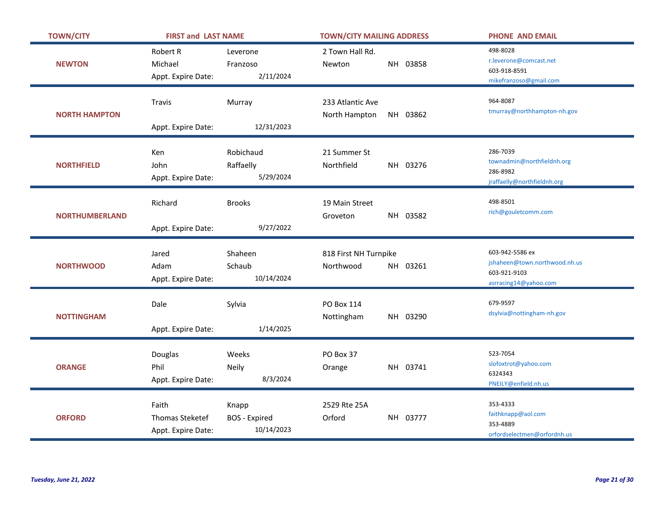| <b>TOWN/CITY</b>      | <b>FIRST and LAST NAME</b>                            |                                             | <b>TOWN/CITY MAILING ADDRESS</b>               | <b>PHONE AND EMAIL</b>                                                                    |
|-----------------------|-------------------------------------------------------|---------------------------------------------|------------------------------------------------|-------------------------------------------------------------------------------------------|
| <b>NEWTON</b>         | <b>Robert R</b><br>Michael<br>Appt. Expire Date:      | Leverone<br>Franzoso<br>2/11/2024           | 2 Town Hall Rd.<br>NH 03858<br>Newton          | 498-8028<br>r.leverone@comcast.net<br>603-918-8591<br>mikefranzoso@gmail.com              |
| <b>NORTH HAMPTON</b>  | Travis<br>Appt. Expire Date:                          | Murray<br>12/31/2023                        | 233 Atlantic Ave<br>North Hampton<br>NH 03862  | 964-8087<br>tmurray@northhampton-nh.gov                                                   |
| <b>NORTHFIELD</b>     | Ken<br>John<br>Appt. Expire Date:                     | Robichaud<br>Raffaelly<br>5/29/2024         | 21 Summer St<br>Northfield<br>NH 03276         | 286-7039<br>townadmin@northfieldnh.org<br>286-8982<br>jraffaelly@northfieldnh.org         |
| <b>NORTHUMBERLAND</b> | Richard<br>Appt. Expire Date:                         | <b>Brooks</b><br>9/27/2022                  | 19 Main Street<br>NH 03582<br>Groveton         | 498-8501<br>rich@gouletcomm.com                                                           |
| <b>NORTHWOOD</b>      | Jared<br>Adam<br>Appt. Expire Date:                   | Shaheen<br>Schaub<br>10/14/2024             | 818 First NH Turnpike<br>Northwood<br>NH 03261 | 603-942-5586 ex<br>jshaheen@town.northwood.nh.us<br>603-921-9103<br>asrracing14@yahoo.com |
| <b>NOTTINGHAM</b>     | Dale<br>Appt. Expire Date:                            | Sylvia<br>1/14/2025                         | PO Box 114<br>Nottingham<br>NH 03290           | 679-9597<br>dsylvia@nottingham-nh.gov                                                     |
| <b>ORANGE</b>         | Douglas<br>Phil<br>Appt. Expire Date:                 | Weeks<br>Neily<br>8/3/2024                  | PO Box 37<br>NH 03741<br>Orange                | 523-7054<br>slofoxtrot@yahoo.com<br>6324343<br>PNEILY@enfield.nh.us                       |
| <b>ORFORD</b>         | Faith<br><b>Thomas Steketef</b><br>Appt. Expire Date: | Knapp<br><b>BOS</b> - Expired<br>10/14/2023 | 2529 Rte 25A<br>Orford<br>NH 03777             | 353-4333<br>faithknapp@aol.com<br>353-4889<br>orfordselectmen@orfordnh.us                 |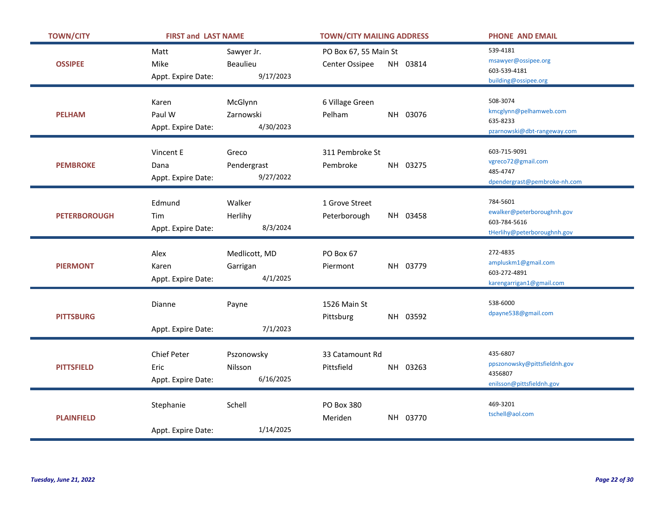| <b>TOWN/CITY</b>    | <b>FIRST and LAST NAME</b>                |                                     | <b>TOWN/CITY MAILING ADDRESS</b>        |          | <b>PHONE AND EMAIL</b>                                                                |
|---------------------|-------------------------------------------|-------------------------------------|-----------------------------------------|----------|---------------------------------------------------------------------------------------|
| <b>OSSIPEE</b>      | Matt<br>Mike<br>Appt. Expire Date:        | Sawyer Jr.<br>Beaulieu<br>9/17/2023 | PO Box 67, 55 Main St<br>Center Ossipee | NH 03814 | 539-4181<br>msawyer@ossipee.org<br>603-539-4181<br>building@ossipee.org               |
| <b>PELHAM</b>       | Karen<br>Paul W<br>Appt. Expire Date:     | McGlynn<br>Zarnowski<br>4/30/2023   | 6 Village Green<br>Pelham               | NH 03076 | 508-3074<br>kmcglynn@pelhamweb.com<br>635-8233<br>pzarnowski@dbt-rangeway.com         |
| <b>PEMBROKE</b>     | Vincent E<br>Dana<br>Appt. Expire Date:   | Greco<br>Pendergrast<br>9/27/2022   | 311 Pembroke St<br>Pembroke             | NH 03275 | 603-715-9091<br>vgreco72@gmail.com<br>485-4747<br>dpendergrast@pembroke-nh.com        |
| <b>PETERBOROUGH</b> | Edmund<br>Tim<br>Appt. Expire Date:       | Walker<br>Herlihy<br>8/3/2024       | 1 Grove Street<br>Peterborough          | NH 03458 | 784-5601<br>ewalker@peterboroughnh.gov<br>603-784-5616<br>tHerlihy@peterboroughnh.gov |
|                     | Alex                                      | Medlicott, MD                       | PO Box 67<br>Piermont                   | NH 03779 | 272-4835<br>ampluskm1@gmail.com                                                       |
| <b>PIERMONT</b>     | Karen<br>Appt. Expire Date:               | Garrigan<br>4/1/2025                |                                         |          | 603-272-4891<br>karengarrigan1@gmail.com                                              |
| <b>PITTSBURG</b>    | Dianne<br>Appt. Expire Date:              | Payne<br>7/1/2023                   | 1526 Main St<br>Pittsburg               | NH 03592 | 538-6000<br>dpayne538@gmail.com                                                       |
| <b>PITTSFIELD</b>   | Chief Peter<br>Eric<br>Appt. Expire Date: | Pszonowsky<br>Nilsson<br>6/16/2025  | 33 Catamount Rd<br>Pittsfield           | NH 03263 | 435-6807<br>ppszonowsky@pittsfieldnh.gov<br>4356807<br>enilsson@pittsfieldnh.gov      |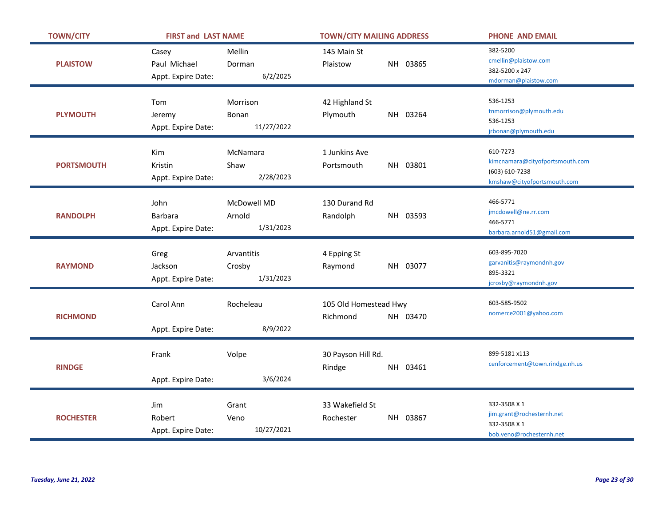| <b>TOWN/CITY</b>  | <b>FIRST and LAST NAME</b>                   |                                    | <b>TOWN/CITY MAILING ADDRESS</b>              | <b>PHONE AND EMAIL</b>                                                                       |
|-------------------|----------------------------------------------|------------------------------------|-----------------------------------------------|----------------------------------------------------------------------------------------------|
| <b>PLAISTOW</b>   | Casey<br>Paul Michael<br>Appt. Expire Date:  | Mellin<br>Dorman<br>6/2/2025       | 145 Main St<br>NH 03865<br>Plaistow           | 382-5200<br>cmellin@plaistow.com<br>382-5200 x 247<br>mdorman@plaistow.com                   |
| <b>PLYMOUTH</b>   | Tom<br>Jeremy<br>Appt. Expire Date:          | Morrison<br>Bonan<br>11/27/2022    | 42 Highland St<br>NH 03264<br>Plymouth        | 536-1253<br>tnmorrison@plymouth.edu<br>536-1253<br>jrbonan@plymouth.edu                      |
| <b>PORTSMOUTH</b> | Kim<br>Kristin<br>Appt. Expire Date:         | McNamara<br>Shaw<br>2/28/2023      | 1 Junkins Ave<br>NH 03801<br>Portsmouth       | 610-7273<br>kimcnamara@cityofportsmouth.com<br>(603) 610-7238<br>kmshaw@cityofportsmouth.com |
| <b>RANDOLPH</b>   | John<br><b>Barbara</b><br>Appt. Expire Date: | McDowell MD<br>Arnold<br>1/31/2023 | 130 Durand Rd<br>Randolph<br>NH 03593         | 466-5771<br>jmcdowell@ne.rr.com<br>466-5771<br>barbara.arnold51@gmail.com                    |
| <b>RAYMOND</b>    | Greg<br>Jackson<br>Appt. Expire Date:        | Arvantitis<br>Crosby<br>1/31/2023  | 4 Epping St<br>NH 03077<br>Raymond            | 603-895-7020<br>garvanitis@raymondnh.gov<br>895-3321<br>jcrosby@raymondnh.gov                |
| <b>RICHMOND</b>   | Carol Ann<br>Appt. Expire Date:              | Rocheleau<br>8/9/2022              | 105 Old Homestead Hwy<br>Richmond<br>NH 03470 | 603-585-9502<br>nomerce2001@yahoo.com                                                        |
| <b>RINDGE</b>     | Frank<br>Appt. Expire Date:                  | Volpe<br>3/6/2024                  | 30 Payson Hill Rd.<br>NH 03461<br>Rindge      | 899-5181 x113<br>cenforcement@town.rindge.nh.us                                              |
| <b>ROCHESTER</b>  | Jim<br>Robert<br>Appt. Expire Date:          | Grant<br>Veno<br>10/27/2021        | 33 Wakefield St<br>Rochester<br>NH 03867      | 332-3508 X 1<br>jim.grant@rochesternh.net<br>332-3508 X 1<br>bob.veno@rochesternh.net        |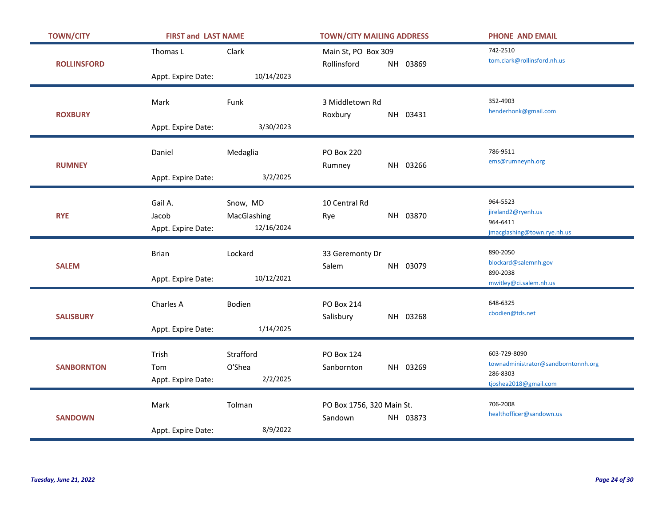| <b>TOWN/CITY</b>   | <b>FIRST and LAST NAME</b>             |                                       | <b>TOWN/CITY MAILING ADDRESS</b>     |          | <b>PHONE AND EMAIL</b>                                                                   |
|--------------------|----------------------------------------|---------------------------------------|--------------------------------------|----------|------------------------------------------------------------------------------------------|
| <b>ROLLINSFORD</b> | Thomas L                               | Clark                                 | Main St, PO Box 309<br>Rollinsford   | NH 03869 | 742-2510<br>tom.clark@rollinsford.nh.us                                                  |
|                    | Appt. Expire Date:                     | 10/14/2023                            |                                      |          |                                                                                          |
| <b>ROXBURY</b>     | Mark                                   | Funk<br>3/30/2023                     | 3 Middletown Rd<br>Roxbury           | NH 03431 | 352-4903<br>henderhonk@gmail.com                                                         |
|                    | Appt. Expire Date:                     |                                       |                                      |          |                                                                                          |
| <b>RUMNEY</b>      | Daniel                                 | Medaglia                              | <b>PO Box 220</b><br>Rumney          | NH 03266 | 786-9511<br>ems@rumneynh.org                                                             |
|                    | Appt. Expire Date:                     | 3/2/2025                              |                                      |          |                                                                                          |
| <b>RYE</b>         | Gail A.<br>Jacob<br>Appt. Expire Date: | Snow, MD<br>MacGlashing<br>12/16/2024 | 10 Central Rd<br>Rye                 | NH 03870 | 964-5523<br>jireland2@ryenh.us<br>964-6411<br>jmacglashing@town.rye.nh.us                |
| <b>SALEM</b>       | <b>Brian</b><br>Appt. Expire Date:     | Lockard<br>10/12/2021                 | 33 Geremonty Dr<br>Salem             | NH 03079 | 890-2050<br>blockard@salemnh.gov<br>890-2038<br>mwitley@ci.salem.nh.us                   |
| <b>SALISBURY</b>   | Charles A<br>Appt. Expire Date:        | Bodien<br>1/14/2025                   | <b>PO Box 214</b><br>Salisbury       | NH 03268 | 648-6325<br>cbodien@tds.net                                                              |
| <b>SANBORNTON</b>  | Trish<br>Tom<br>Appt. Expire Date:     | Strafford<br>O'Shea<br>2/2/2025       | PO Box 124<br>Sanbornton             | NH 03269 | 603-729-8090<br>townadministrator@sandborntonnh.org<br>286-8303<br>tjoshea2018@gmail.com |
| <b>SANDOWN</b>     | Mark<br>Appt. Expire Date:             | Tolman<br>8/9/2022                    | PO Box 1756, 320 Main St.<br>Sandown | NH 03873 | 706-2008<br>healthofficer@sandown.us                                                     |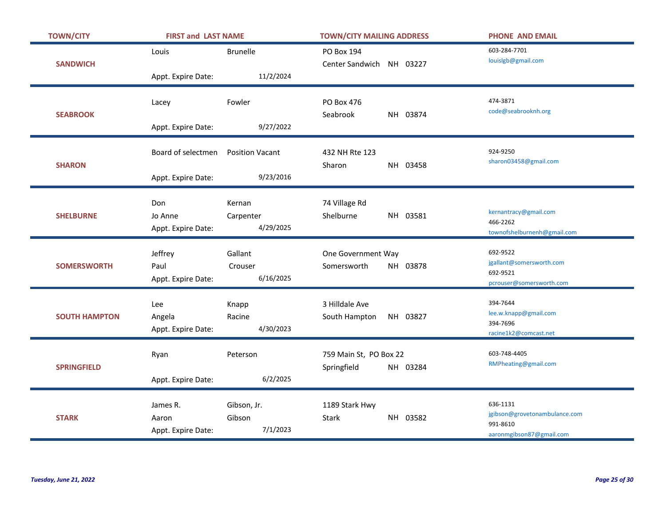| <b>TOWN/CITY</b>     | <b>FIRST and LAST NAME</b>               |                                     | <b>TOWN/CITY MAILING ADDRESS</b>                  | <b>PHONE AND EMAIL</b>                                                            |
|----------------------|------------------------------------------|-------------------------------------|---------------------------------------------------|-----------------------------------------------------------------------------------|
| <b>SANDWICH</b>      | Louis<br>Appt. Expire Date:              | <b>Brunelle</b><br>11/2/2024        | <b>PO Box 194</b><br>Center Sandwich NH 03227     | 603-284-7701<br>louislgb@gmail.com                                                |
| <b>SEABROOK</b>      | Lacey<br>Appt. Expire Date:              | Fowler<br>9/27/2022                 | <b>PO Box 476</b><br>Seabrook<br>NH 03874         | 474-3871<br>code@seabrooknh.org                                                   |
| <b>SHARON</b>        | Board of selectmen<br>Appt. Expire Date: | <b>Position Vacant</b><br>9/23/2016 | 432 NH Rte 123<br>NH 03458<br>Sharon              | 924-9250<br>sharon03458@gmail.com                                                 |
| <b>SHELBURNE</b>     | Don<br>Jo Anne<br>Appt. Expire Date:     | Kernan<br>Carpenter<br>4/29/2025    | 74 Village Rd<br>Shelburne<br>NH 03581            | kernantracy@gmail.com<br>466-2262<br>townofshelburnenh@gmail.com                  |
| <b>SOMERSWORTH</b>   | Jeffrey<br>Paul<br>Appt. Expire Date:    | Gallant<br>Crouser<br>6/16/2025     | One Government Way<br>NH 03878<br>Somersworth     | 692-9522<br>jgallant@somersworth.com<br>692-9521<br>pcrouser@somersworth.com      |
| <b>SOUTH HAMPTON</b> | Lee<br>Angela<br>Appt. Expire Date:      | Knapp<br>Racine<br>4/30/2023        | 3 Hilldale Ave<br>NH 03827<br>South Hampton       | 394-7644<br>lee.w.knapp@gmail.com<br>394-7696<br>racine1k2@comcast.net            |
| <b>SPRINGFIELD</b>   | Ryan<br>Appt. Expire Date:               | Peterson<br>6/2/2025                | 759 Main St, PO Box 22<br>Springfield<br>NH 03284 | 603-748-4405<br>RMPheating@gmail.com                                              |
| <b>STARK</b>         | James R.<br>Aaron<br>Appt. Expire Date:  | Gibson, Jr.<br>Gibson<br>7/1/2023   | 1189 Stark Hwy<br>NH 03582<br>Stark               | 636-1131<br>jgibson@grovetonambulance.com<br>991-8610<br>aaronmgibson87@gmail.com |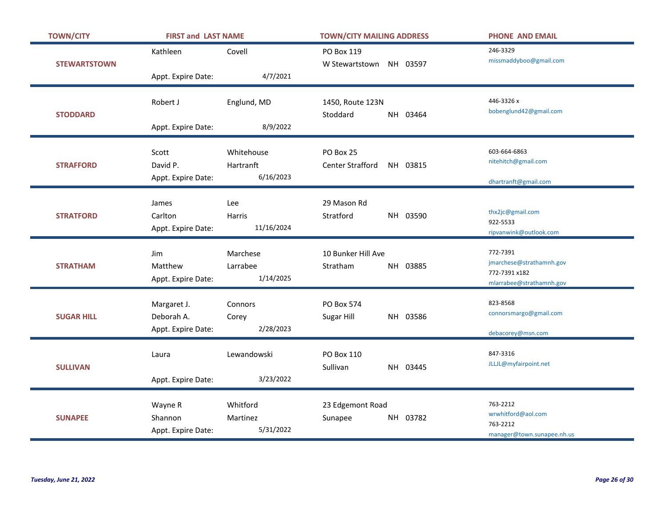| <b>TOWN/CITY</b>    | <b>FIRST and LAST NAME</b>                      |                                      | <b>TOWN/CITY MAILING ADDRESS</b>                 | <b>PHONE AND EMAIL</b>                                                            |
|---------------------|-------------------------------------------------|--------------------------------------|--------------------------------------------------|-----------------------------------------------------------------------------------|
| <b>STEWARTSTOWN</b> | Kathleen                                        | Covell                               | PO Box 119<br>W Stewartstown NH 03597            | 246-3329<br>missmaddyboo@gmail.com                                                |
|                     | Appt. Expire Date:                              | 4/7/2021                             |                                                  |                                                                                   |
| <b>STODDARD</b>     | Robert J                                        | Englund, MD                          | 1450, Route 123N<br>Stoddard<br>NH 03464         | 446-3326 x<br>bobenglund42@gmail.com                                              |
|                     | Appt. Expire Date:                              | 8/9/2022                             |                                                  |                                                                                   |
| <b>STRAFFORD</b>    | Scott<br>David P.<br>Appt. Expire Date:         | Whitehouse<br>Hartranft<br>6/16/2023 | PO Box 25<br><b>Center Strafford</b><br>NH 03815 | 603-664-6863<br>nitehitch@gmail.com<br>dhartranft@gmail.com                       |
| <b>STRATFORD</b>    | James<br>Carlton<br>Appt. Expire Date:          | Lee<br><b>Harris</b><br>11/16/2024   | 29 Mason Rd<br>Stratford<br>NH 03590             | thx2jc@gmail.com<br>922-5533<br>ripvanwink@outlook.com                            |
| <b>STRATHAM</b>     | Jim<br>Matthew<br>Appt. Expire Date:            | Marchese<br>Larrabee<br>1/14/2025    | 10 Bunker Hill Ave<br>NH 03885<br>Stratham       | 772-7391<br>jmarchese@strathamnh.gov<br>772-7391 x182<br>mlarrabee@strathamnh.gov |
| <b>SUGAR HILL</b>   | Margaret J.<br>Deborah A.<br>Appt. Expire Date: | Connors<br>Corey<br>2/28/2023        | <b>PO Box 574</b><br>NH 03586<br>Sugar Hill      | 823-8568<br>connorsmargo@gmail.com<br>debacorey@msn.com                           |
| <b>SULLIVAN</b>     | Laura<br>Appt. Expire Date:                     | Lewandowski<br>3/23/2022             | PO Box 110<br>Sullivan<br>NH 03445               | 847-3316<br>JLLJL@myfairpoint.net                                                 |
| <b>SUNAPEE</b>      | Wayne R<br>Shannon<br>Appt. Expire Date:        | Whitford<br>Martinez<br>5/31/2022    | 23 Edgemont Road<br>NH 03782<br>Sunapee          | 763-2212<br>wrwhitford@aol.com<br>763-2212<br>manager@town.sunapee.nh.us          |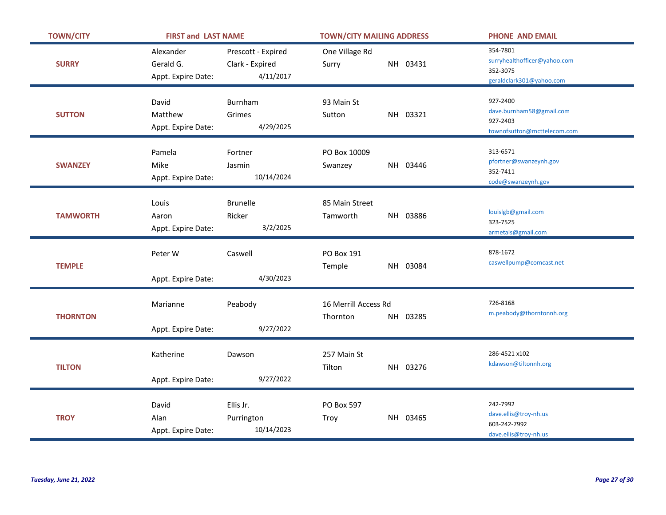| <b>TOWN/CITY</b> | <b>FIRST and LAST NAME</b>                   |                                                    | <b>TOWN/CITY MAILING ADDRESS</b>             | <b>PHONE AND EMAIL</b>                                                           |
|------------------|----------------------------------------------|----------------------------------------------------|----------------------------------------------|----------------------------------------------------------------------------------|
| <b>SURRY</b>     | Alexander<br>Gerald G.<br>Appt. Expire Date: | Prescott - Expired<br>Clark - Expired<br>4/11/2017 | One Village Rd<br>NH 03431<br>Surry          | 354-7801<br>surryhealthofficer@yahoo.com<br>352-3075<br>geraldclark301@yahoo.com |
| <b>SUTTON</b>    | David<br>Matthew<br>Appt. Expire Date:       | Burnham<br>Grimes<br>4/29/2025                     | 93 Main St<br>Sutton<br>NH 03321             | 927-2400<br>dave.burnham58@gmail.com<br>927-2403<br>townofsutton@mcttelecom.com  |
| <b>SWANZEY</b>   | Pamela<br>Mike<br>Appt. Expire Date:         | Fortner<br>Jasmin<br>10/14/2024                    | PO Box 10009<br>NH 03446<br>Swanzey          | 313-6571<br>pfortner@swanzeynh.gov<br>352-7411<br>code@swanzeynh.gov             |
| <b>TAMWORTH</b>  | Louis<br>Aaron<br>Appt. Expire Date:         | <b>Brunelle</b><br>Ricker<br>3/2/2025              | 85 Main Street<br>NH 03886<br>Tamworth       | louislgb@gmail.com<br>323-7525<br>armetals@gmail.com                             |
| <b>TEMPLE</b>    | Peter W<br>Appt. Expire Date:                | Caswell<br>4/30/2023                               | PO Box 191<br>NH 03084<br>Temple             | 878-1672<br>caswellpump@comcast.net                                              |
|                  |                                              |                                                    |                                              |                                                                                  |
| <b>THORNTON</b>  | Marianne<br>Appt. Expire Date:               | Peabody<br>9/27/2022                               | 16 Merrill Access Rd<br>Thornton<br>NH 03285 | 726-8168<br>m.peabody@thorntonnh.org                                             |
| <b>TILTON</b>    | Katherine<br>Appt. Expire Date:              | Dawson<br>9/27/2022                                | 257 Main St<br>NH 03276<br>Tilton            | 286-4521 x102<br>kdawson@tiltonnh.org                                            |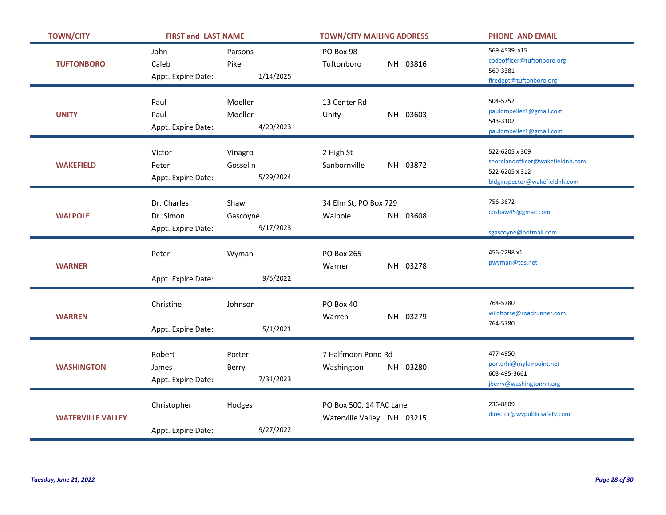| <b>TOWN/CITY</b>         | <b>FIRST and LAST NAME</b>                     |                                  | <b>TOWN/CITY MAILING ADDRESS</b>                      | <b>PHONE AND EMAIL</b>                                                                                |
|--------------------------|------------------------------------------------|----------------------------------|-------------------------------------------------------|-------------------------------------------------------------------------------------------------------|
| <b>TUFTONBORO</b>        | John<br>Caleb<br>Appt. Expire Date:            | Parsons<br>Pike<br>1/14/2025     | PO Box 98<br>NH 03816<br>Tuftonboro                   | 569-4539 x15<br>codeofficer@tuftonboro.org<br>569-3381<br>firedept@tuftonboro.org                     |
| <b>UNITY</b>             | Paul<br>Paul<br>Appt. Expire Date:             | Moeller<br>Moeller<br>4/20/2023  | 13 Center Rd<br>NH 03603<br>Unity                     | 504-5752<br>pauldmoeller1@gmail.com<br>543-3102<br>pauldmoeller1@gmail.com                            |
| <b>WAKEFIELD</b>         | Victor<br>Peter<br>Appt. Expire Date:          | Vinagro<br>Gosselin<br>5/29/2024 | 2 High St<br>Sanbornville<br>NH 03872                 | 522-6205 x 309<br>shorelandofficer@wakefieldnh.com<br>522-6205 x 312<br>bldginspector@wakefieldnh.com |
| <b>WALPOLE</b>           | Dr. Charles<br>Dr. Simon<br>Appt. Expire Date: | Shaw<br>Gascoyne<br>9/17/2023    | 34 Elm St, PO Box 729<br>Walpole<br>NH 03608          | 756-3672<br>cpshaw45@gmail.com<br>sgascoyne@hotmail.com                                               |
| <b>WARNER</b>            | Peter<br>Appt. Expire Date:                    | Wyman<br>9/5/2022                | PO Box 265<br>NH 03278<br>Warner                      | 456-2298 x1<br>pwyman@tds.net                                                                         |
| <b>WARREN</b>            | Christine<br>Appt. Expire Date:                | Johnson<br>5/1/2021              | PO Box 40<br>NH 03279<br>Warren                       | 764-5780<br>wildhorse@roadrunner.com<br>764-5780                                                      |
| <b>WASHINGTON</b>        | Robert<br>James<br>Appt. Expire Date:          | Porter<br>Berry<br>7/31/2023     | 7 Halfmoon Pond Rd<br>Washington<br>NH 03280          | 477-4950<br>porterhi@myfairpoint.net<br>603-495-3661<br>jberry@washingtonnh.org                       |
| <b>WATERVILLE VALLEY</b> | Christopher<br>Appt. Expire Date:              | Hodges<br>9/27/2022              | PO Box 500, 14 TAC Lane<br>Waterville Valley NH 03215 | 236-8809<br>director@wvpublicsafety.com                                                               |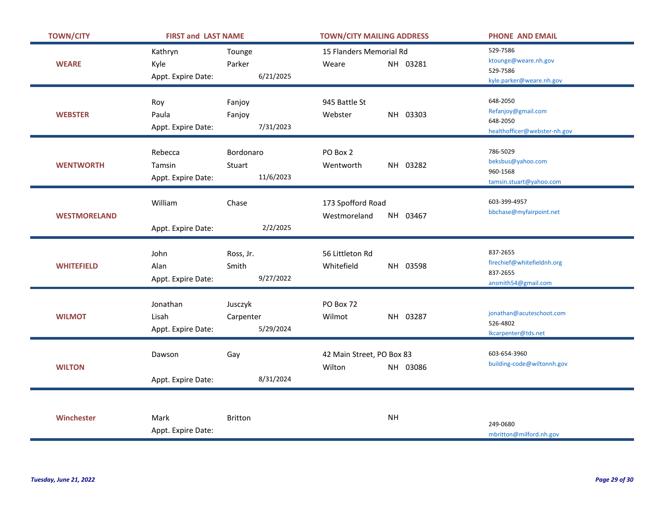| <b>TOWN/CITY</b>    | <b>FIRST and LAST NAME</b> |                | <b>TOWN/CITY MAILING ADDRESS</b> | <b>PHONE AND EMAIL</b>       |
|---------------------|----------------------------|----------------|----------------------------------|------------------------------|
|                     | Kathryn                    | Tounge         | 15 Flanders Memorial Rd          | 529-7586                     |
| <b>WEARE</b>        | Kyle                       | Parker         | NH 03281<br>Weare                | ktounge@weare.nh.gov         |
|                     | Appt. Expire Date:         | 6/21/2025      |                                  | 529-7586                     |
|                     |                            |                |                                  | kyle.parker@weare.nh.gov     |
|                     | Roy                        | Fanjoy         | 945 Battle St                    | 648-2050                     |
| <b>WEBSTER</b>      | Paula                      | Fanjoy         | NH 03303<br>Webster              | Refanjoy@gmail.com           |
|                     | Appt. Expire Date:         | 7/31/2023      |                                  | 648-2050                     |
|                     |                            |                |                                  | healthofficer@webster-nh.gov |
|                     | Rebecca                    | Bordonaro      | PO Box 2                         | 786-5029                     |
| <b>WENTWORTH</b>    | Tamsin                     | Stuart         | NH 03282<br>Wentworth            | beksbus@yahoo.com            |
|                     | Appt. Expire Date:         | 11/6/2023      |                                  | 960-1568                     |
|                     |                            |                |                                  | tamsin.stuart@yahoo.com      |
|                     | William                    | Chase          | 173 Spofford Road                | 603-399-4957                 |
| <b>WESTMORELAND</b> |                            |                | NH 03467<br>Westmoreland         | bbchase@myfairpoint.net      |
|                     | Appt. Expire Date:         | 2/2/2025       |                                  |                              |
|                     |                            |                |                                  |                              |
|                     | John                       | Ross, Jr.      | 56 Littleton Rd                  | 837-2655                     |
| <b>WHITEFIELD</b>   | Alan                       | Smith          | Whitefield<br>NH 03598           | firechief@whitefieldnh.org   |
|                     | Appt. Expire Date:         | 9/27/2022      |                                  | 837-2655                     |
|                     |                            |                |                                  | ansmith54@gmail.com          |
|                     | Jonathan                   | Jusczyk        | PO Box 72                        |                              |
| <b>WILMOT</b>       | Lisah                      |                | NH 03287<br>Wilmot               | jonathan@acuteschoot.com     |
|                     |                            | Carpenter      |                                  | 526-4802                     |
|                     | Appt. Expire Date:         | 5/29/2024      |                                  | Ikcarpenter@tds.net          |
|                     |                            |                |                                  | 603-654-3960                 |
| <b>WILTON</b>       | Dawson                     | Gay            | 42 Main Street, PO Box 83        | building-code@wiltonnh.gov   |
|                     |                            |                | Wilton<br>NH 03086               |                              |
|                     | Appt. Expire Date:         | 8/31/2024      |                                  |                              |
|                     |                            |                |                                  |                              |
|                     |                            |                |                                  |                              |
| Winchester          | Mark                       | <b>Britton</b> | <b>NH</b>                        | 249-0680                     |
|                     | Appt. Expire Date:         |                |                                  | mbritton@milford.nh.gov      |